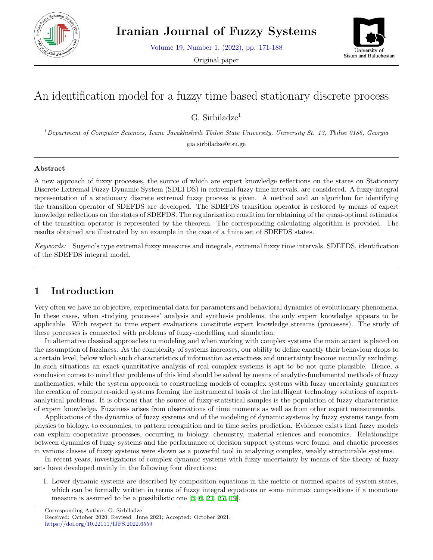

Volume 19, Number 1, (2022), pp. 171-188

Original paper



# An identification model for a fuzzy time based stationary discrete process

G. Sirbiladz $e^1$ 

<sup>1</sup>*Department of Computer Sciences, Ivane Javakhishvili Tbilisi State University, University St. 13, Tbilisi 0186, Georgia* gia.sirbiladze@tsu.ge

#### **Abstract**

A new approach of fuzzy processes, the source of which are expert knowledge reflections on the states on Stationary Discrete Extremal Fuzzy Dynamic System (SDEFDS) in extremal fuzzy time intervals, are considered. A fuzzy-integral representation of a stationary discrete extremal fuzzy process is given. A method and an algorithm for identifying the transition operator of SDEFDS are developed. The SDEFDS transition operator is restored by means of expert knowledge reflections on the states of SDEFDS. The regularization condition for obtaining of the quasi-optimal estimator of the transition operator is represented by the theorem. The corresponding calculating algorithm is provided. The results obtained are illustrated by an example in the case of a finite set of SDEFDS states.

*Keywords:* Sugeno's type extremal fuzzy measures and integrals, extremal fuzzy time intervals, SDEFDS, identification of the SDEFDS integral model.

## **1 Introduction**

Very often we have no objective, experimental data for parameters and behavioral dynamics of evolutionary phenomena. In these cases, when studying processes' analysis and synthesis problems, the only expert knowledge appears to be applicable. With respect to time expert evaluations constitute expert knowledge streams (processes). The study of these processes is connected with problems of fuzzy-modelling and simulation.

In alternative classical approaches to modeling and when working with complex systems the main accent is placed on the assumption of fuzziness. As the complexity of systems increases, our ability to define exactly their behaviour drops to a certain level, below which such characteristics of information as exactness and uncertainty become mutually excluding. In such situations an exact quantitative analysis of real complex systems is apt to be not quite plausible. Hence, a conclusion comes to mind that problems of this kind should be solved by means of analytic-fundamental methods of fuzzy mathematics, while the system approach to constructing models of complex systems with fuzzy uncertainty guarantees the creation of computer-aided systems forming the instrumental basis of the intelligent technology solutions of expertanalytical problems. It is obvious that the source of fuzzy-statistical samples is the population of fuzzy characteristics of expert knowledge. Fuzziness arises from observations of time moments as well as from other expert measurements.

Applications of the dynamics of fuzzy systems and of the modeling of dynamic systems by fuzzy systems range from physics to biology, to economics, to pattern recognition and to time series prediction. Evidence exists that fuzzy models can explain cooperative processes, occurring in biology, chemistry, material sciences and economics. Relationships between dynamics of fuzzy systems and the performance of decision support systems were found, and chaotic processes in various classes of fuzzy systems were shown as a powerful tool in analyzing complex, weakly structurable systems.

In recent years, investigations of complex dynamic systems with fuzzy uncertainty by means of the theory of fuzzy sets have developed mainly in the following four directions:

I. Lower dynamic systems are described by composition equations in the metric or normed spaces of system states, which can be formally written in terms of fuzzy integral equations or some minmax compositions if a monotone measure is assumed to be a possibilistic one [[5,](#page-15-0) [6,](#page-15-1) [21,](#page-16-0) [37,](#page-17-0) [49\]](#page-17-1).

Corresponding Author: G. Sirbiladze

Received: October 2020; Revised: June 2021; Accepted: October 2021. https://doi.org/10.22111/IJFS.2022.6559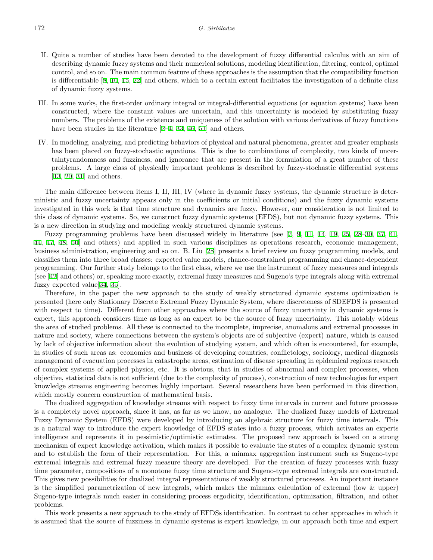- II. Quite a number of studies have been devoted to the development of fuzzy differential calculus with an aim of describing dynamic fuzzy systems and their numerical solutions, modeling identification, filtering, control, optimal control, and so on. The main common feature of these approaches is the assumption that the compatibility function is differentiable [\[8](#page-15-2), [10](#page-16-1), [15](#page-16-2), [22](#page-16-3)] and others, which to a certain extent facilitates the investigation of a definite class of dynamic fuzzy systems.
- III. In some works, the first-order ordinary integral or integral-differential equations (or equation systems) have been constructed, where the constant values are uncertain, and this uncertainty is modeled by substituting fuzzy numbers. The problems of the existence and uniqueness of the solution with various derivatives of fuzzy functions have been studies in the literature [\[2](#page-15-3)[–4](#page-15-4), [33](#page-17-2), [46](#page-17-3), [51](#page-17-4)] and others.
- IV. In modeling, analyzing, and predicting behaviors of physical and natural phenomena, greater and greater emphasis has been placed on fuzzy-stochastic equations. This is due to combinations of complexity, two kinds of uncertaintyrandomness and fuzziness, and ignorance that are present in the formulation of a great number of these problems. A large class of physically important problems is described by fuzzy-stochastic differential systems [[13,](#page-16-4) [20,](#page-16-5) [31\]](#page-16-6) and others.

The main difference between items I, II, III, IV (where in dynamic fuzzy systems, the dynamic structure is deterministic and fuzzy uncertainty appears only in the coefficients or initial conditions) and the fuzzy dynamic systems investigated in this work is that time structure and dynamics are fuzzy. However, our consideration is not limited to this class of dynamic systems. So, we construct fuzzy dynamic systems (EFDS), but not dynamic fuzzy systems. This is a new direction in studying and modeling weakly structured dynamic systems.

Fuzzy programming problems have been discussed widely in literature (see [[7,](#page-15-5) [9](#page-15-6), [11](#page-16-7), [14,](#page-16-8) [19,](#page-16-9) [25](#page-16-10), [28–](#page-16-11)[30](#page-16-12), [37,](#page-17-0) [41](#page-17-5), [44](#page-17-6), [47,](#page-17-7) [48](#page-17-8), [50\]](#page-17-9) and others) and applied in such various disciplines as operations research, economic management, business administration, engineering and so on. B. Liu [[28\]](#page-16-11) presents a brief review on fuzzy programming models, and classifies them into three broad classes: expected value models, chance-constrained programming and chance-dependent programming. Our further study belongs to the first class, where we use the instrument of fuzzy measures and integrals (see [\[42](#page-17-10)] and others) or, speaking more exactly, extremal fuzzy measures and Sugeno's type integrals along with extremal fuzzy expected value[[34,](#page-17-11) [35\]](#page-17-12).

Therefore, in the paper the new approach to the study of weakly structured dynamic systems optimization is presented (here only Stationary Discrete Extremal Fuzzy Dynamic System, where discreteness of SDEFDS is presented with respect to time). Different from other approaches where the source of fuzzy uncertainty in dynamic systems is expert, this approach considers time as long as an expert to be the source of fuzzy uncertainty. This notably widens the area of studied problems. All these is connected to the incomplete, imprecise, anomalous and extremal processes in nature and society, where connections between the system's objects are of subjective (expert) nature, which is caused by lack of objective information about the evolution of studying system, and which often is encountered, for example, in studies of such areas as: economics and business of developing countries, conflictology, sociology, medical diagnosis management of evacuation processes in catastrophe areas, estimation of disease spreading in epidemical regions research of complex systems of applied physics, etc. It is obvious, that in studies of abnormal and complex processes, when objective, statistical data is not sufficient (due to the complexity of process), construction of new technologies for expert knowledge streams engineering becomes highly important. Several researchers have been performed in this direction, which mostly concern construction of mathematical basis.

The dualized aggregation of knowledge streams with respect to fuzzy time intervals in current and future processes is a completely novel approach, since it has, as far as we know, no analogue. The dualized fuzzy models of Extremal Fuzzy Dynamic System (EFDS) were developed by introducing an algebraic structure for fuzzy time intervals. This is a natural way to introduce the expert knowledge of EFDS states into a fuzzy process, which activates an experts intelligence and represents it in pessimistic/optimistic estimates. The proposed new approach is based on a strong mechanism of expert knowledge activation, which makes it possible to evaluate the states of a complex dynamic system and to establish the form of their representation. For this, a minmax aggregation instrument such as Sugeno-type extremal integrals and extremal fuzzy measure theory are developed. For the creation of fuzzy processes with fuzzy time parameter, compositions of a monotone fuzzy time structure and Sugeno-type extremal integrals are constructed. This gives new possibilities for dualized integral representations of weakly structured processes. An important instance is the simplified parametrization of new integrals, which makes the minmax calculation of extremal (low & upper) Sugeno-type integrals much easier in considering process ergodicity, identification, optimization, filtration, and other problems.

This work presents a new approach to the study of EFDSs identification. In contrast to other approaches in which it is assumed that the source of fuzziness in dynamic systems is expert knowledge, in our approach both time and expert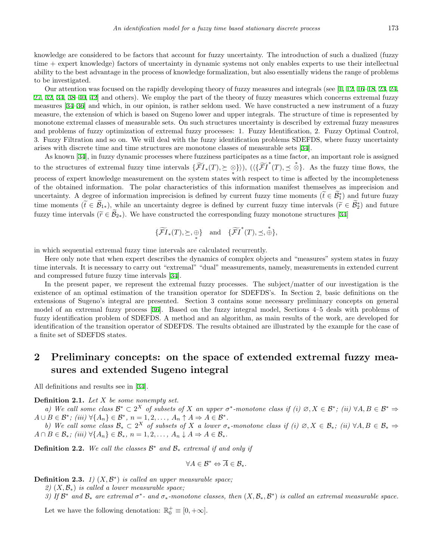knowledge are considered to be factors that account for fuzzy uncertainty. The introduction of such a dualized (fuzzy time + expert knowledge) factors of uncertainty in dynamic systems not only enables experts to use their intellectual ability to the best advantage in the process of knowledge formalization, but also essentially widens the range of problems to be investigated.

Our attention was focused on the rapidly developing theory of fuzzy measures and integrals (see [[1](#page-15-7), [12,](#page-16-13) [16](#page-16-14)[–18](#page-16-15), [23,](#page-16-16) [24](#page-16-17), [27](#page-16-18), [32](#page-16-19), [34](#page-17-11), [38](#page-17-13)[–40](#page-17-14), [42](#page-17-10)] and others). We employ the part of the theory of fuzzy measures which concerns extremal fuzzy measures [[34–](#page-17-11)[36\]](#page-17-15) and which, in our opinion, is rather seldom used. We have constructed a new instrument of a fuzzy measure, the extension of which is based on Sugeno lower and upper integrals. The structure of time is represented by monotone extremal classes of measurable sets. On such structures uncertainty is described by extremal fuzzy measures and problems of fuzzy optimization of extremal fuzzy processes: 1. Fuzzy Identification, 2. Fuzzy Optimal Control, 3. Fuzzy Filtration and so on. We will deal with the fuzzy identification problems SDEFDS, where fuzzy uncertainty arises with discrete time and time structures are monotone classes of measurable sets [[34](#page-17-11)].

As known [[34\]](#page-17-11), in fuzzy dynamic processes where fuzziness participates as a time factor, an important role is assigned to the structures of extremal fuzzy time intervals  $\{\widetilde{\mathcal{FI}}_*(T), \leq \otimes\})$ ,  $(\langle\{\widetilde{\mathcal{FI}}^*(T), \preceq \stackrel{*}{\otimes}\}$ . As the fuzzy time flows, the *∗* process of expert knowledge measurement on the system states with respect to time is affected by the incompleteness of the obtained information. The polar characteristics of this information manifest themselves as imprecision and uncertainty. A degree of information imprecision is defined by current fuzzy time moments  $(t \in B<sup>*</sup><sub>1</sub>)$  and future fuzzy time moments  $(\tilde{t} \in \mathcal{B}_{1*})$ , while an uncertainty degree is defined by current fuzzy time intervals  $(\tilde{r} \in \mathcal{B}_2^*)$  and future fuzzy time intervals ( $\tilde{r} \in \tilde{B}_{2*}$ ). We have constructed the corresponding fuzzy monotone structures [[34](#page-17-11)]

$$
\{\widetilde{\mathcal{FI}}_{*}(T), \succeq, \underset{*}{\oplus}\} \quad \text{and} \quad \{\widetilde{\mathcal{FI}}^{*}(T), \preceq, \overset{*}{\oplus}\},
$$

*∗*

in which sequential extremal fuzzy time intervals are calculated recurrently.

Here only note that when expert describes the dynamics of complex objects and "measures" system states in fuzzy time intervals. It is necessary to carry out "extremal" "dual" measurements, namely, measurements in extended current and compressed future fuzzy time intervals [\[34](#page-17-11)].

In the present paper, we represent the extremal fuzzy processes. The subject/matter of our investigation is the existence of an optimal estimation of the transition operator for SDEFDS's. In Section 2, basic definitions on the extensions of Sugeno's integral are presented. Section 3 contains some necessary preliminary concepts on general model of an extremal fuzzy process [\[36](#page-17-15)]. Based on the fuzzy integral model, Sections 4–5 deals with problems of fuzzy identification problem of SDEFDS. A method and an algorithm, as main results of the work, are developed for identification of the transition operator of SDEFDS. The results obtained are illustrated by the example for the case of a finite set of SDEFDS states.

## **2 Preliminary concepts: on the space of extended extremal fuzzy measures and extended Sugeno integral**

All definitions and results see in [\[34](#page-17-11)].

**Definition 2.1.** *Let X be some nonempty set.*

a) We call some class  $\mathcal{B}^* \subset 2^X$  of subsets of X an upper  $\sigma^*$ -monotone class if (i)  $\emptyset, X \in \mathcal{B}^*$ ; (ii)  $\forall A, B \in \mathcal{B}^* \Rightarrow$  $A \cup B \in \mathcal{B}^*$ ; (iii)  $\forall \{A_n\} \in \mathcal{B}^*$ ,  $n = 1, 2, ..., A_n \uparrow A \Rightarrow A \in \mathcal{B}^*$ .

b) We call some class  $\mathcal{B}_* \subset 2^X$  of subsets of X a lower  $\sigma_*$ -monotone class if (i)  $\emptyset, X \in \mathcal{B}_*$ ; (ii)  $\forall A, B \in \mathcal{B}_* \Rightarrow$  $A \cap B \in \mathcal{B}_*$ ; (iii)  $\forall \{A_n\} \in \mathcal{B}_*$ ,  $n = 1, 2, \ldots, A_n \downarrow A \Rightarrow A \in \mathcal{B}_*$ .

**Definition 2.2.** *We call the classes B <sup>∗</sup> and B<sup>∗</sup> extremal if and only if*

$$
\forall A \in \mathcal{B}^* \Leftrightarrow \overline{A} \in \mathcal{B}_*.
$$

**Definition 2.3.** *1)*  $(X, \mathcal{B}^*)$  *is called an upper measurable space;* 

*2)* (*X, B∗*) *is called a lower measurable space;*

3) If  $\mathcal{B}^*$  and  $\mathcal{B}_*$  are extremal  $\sigma^*$ - and  $\sigma_*$ -monotone classes, then  $(X, \mathcal{B}_*, \mathcal{B}^*)$  is called an extremal measurable space.

Let we have the following denotation:  $\mathbb{R}_0^+ \equiv [0, +\infty]$ .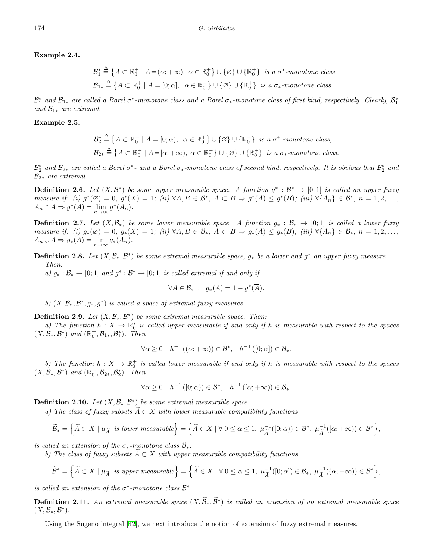#### **Example 2.4.**

$$
\mathcal{B}_1^* \stackrel{\Delta}{=} \{A \subset \mathbb{R}_0^+ \mid A = (\alpha; +\infty), \ \alpha \in \mathbb{R}_0^+\} \cup \{\varnothing\} \cup \{\mathbb{R}_0^+\} \ \text{ is a } \sigma^* \text{-monotone class},
$$
  

$$
\mathcal{B}_{1*} \stackrel{\Delta}{=} \{A \subset \mathbb{R}_0^+ \mid A = [0; \alpha], \ \alpha \in \mathbb{R}_0^+\} \cup \{\varnothing\} \cup \{\mathbb{R}_0^+\} \ \text{ is a } \sigma_* \text{-monotone class}.
$$

 $B_1^*$  and  $B_{1*}$  are called a Borel  $\sigma^*$ -monotone class and a Borel  $\sigma_*$ -monotone class of first kind, respectively. Clearly,  $B_1^*$ *and*  $\mathcal{B}_{1*}$  *are extremal.* 

#### **Example 2.5.**

$$
\mathcal{B}_2^* \stackrel{\Delta}{=} \{A \subset \mathbb{R}_0^+ \mid A = [0; \alpha), \ \alpha \in \mathbb{R}_0^+\} \cup \{\varnothing\} \cup \{\mathbb{R}_0^+\} \ \text{is a } \sigma^* \text{-monotone class},
$$
  

$$
\mathcal{B}_{2*} \stackrel{\Delta}{=} \{A \subset \mathbb{R}_0^+ \mid A = [\alpha; +\infty), \ \alpha \in \mathbb{R}_0^+\} \cup \{\varnothing\} \cup \{\mathbb{R}_0^+\} \ \text{is a } \sigma_* \text{-monotone class}.
$$

 $\mathcal{B}_2^*$  and  $\mathcal{B}_{2*}$  are called a Borel  $\sigma^*$ - and a Borel  $\sigma_*$ -monotone class of second kind, respectively. It is obvious that  $\mathcal{B}_2^*$  and *B*<sup>2</sup>*<sup>∗</sup> are extremal.*

**Definition 2.6.** Let  $(X, \mathcal{B}^*)$  be some upper measurable space. A function  $g^* : \mathcal{B}^* \to [0;1]$  is called an upper fuzzy measure if: (i)  $g^*(\emptyset) = 0$ ,  $g^*(X) = 1$ ; (ii)  $\forall A, B \in \mathcal{B}^*$ ,  $A \subset B \Rightarrow g^*(A) \leq g^*(B)$ ; (iii)  $\forall \{A_n\} \in \mathcal{B}^*$ ,  $n = 1, 2, \ldots$ ,  $A_n \uparrow A \Rightarrow g^*(A) = \lim_{n \to \infty} g^*(A_n).$ 

**Definition 2.7.** Let  $(X, \mathcal{B}_*)$  be some lower measurable space. A function  $g_* : \mathcal{B}_* \to [0,1]$  is called a lower fuzzy measure if: (i)  $g_*(\emptyset) = 0$ ,  $g_*(X) = 1$ ; (ii)  $\forall A, B \in \mathcal{B}_*, A \subset B \Rightarrow g_*(A) \leq g_*(B)$ ; (iii)  $\forall \{A_n\} \in \mathcal{B}_*, n = 1, 2, \ldots$  $A_n \downarrow A \Rightarrow g_*(A) = \lim_{n \to \infty} g_*(A_n).$ 

**Definition 2.8.** Let  $(X, \mathcal{B}_*, \mathcal{B}^*)$  be some extremal measurable space,  $g_*$  be a lower and  $g^*$  an upper fuzzy measure. *Then:*

*a)*  $g_* : \mathcal{B}_* \to [0; 1]$  *and*  $g^* : \mathcal{B}^* \to [0; 1]$  *is called extremal if and only if* 

$$
\forall A \in \mathcal{B}_* \; : \; g_*(A) = 1 - g^*(\overline{A}).
$$

*b*)  $(X, \mathcal{B}_*, \mathcal{B}^*, g_*, g^*)$  *is called a space of extremal fuzzy measures.* 

**Definition 2.9.** *Let*  $(X, \mathcal{B}_*, \mathcal{B}^*)$  *be some extremal measurable space. Then:* 

*a)* The function  $h: X \to \mathbb{R}_0^*$  is called upper measurable if and only if h is measurable with respect to the spaces  $(X, \mathcal{B}_*, \mathcal{B}^*)$  and  $(\mathbb{R}_0^+, \mathcal{B}_{1*}, \mathcal{B}_1^*)$ *. Then* 

$$
\forall \alpha \ge 0 \quad h^{-1}((\alpha; +\infty)) \in \mathcal{B}^*, \quad h^{-1}([0; \alpha]) \in \mathcal{B}_*.
$$

*b)* The function  $h: X \to \mathbb{R}_0^+$  is called lower measurable if and only if h is measurable with respect to the spaces  $(X, \mathcal{B}_*, \mathcal{B}^*)$  and  $(\mathbb{R}_0^+, \mathcal{B}_{2*}, \mathcal{B}_2^*)$ *. Then* 

$$
\forall \alpha \ge 0 \quad h^{-1}\left([0; \alpha)\right) \in \mathcal{B}^*, \quad h^{-1}\left([\alpha; +\infty)\right) \in \mathcal{B}_*.
$$

**Definition 2.10.** *Let* (*X, B∗, B ∗* ) *be some extremal measurable space.*

*a)* The class of fuzzy subsets  $\overline{A} \subset X$  with lower measurable compatibility functions

$$
\widetilde{\mathcal{B}}_{*}=\Big\{\widetilde{A}\subset X\mid \mu_{\widetilde{A}}\ \ is\ lower\ measurable\Big\}=\Big\{\widetilde{A}\in X\mid \forall\ 0\leq \alpha\leq 1,\ \mu_{\widetilde{A}}^{-1}([0;\alpha))\in \mathcal{B}^{*},\ \mu_{\widetilde{A}}^{-1}([\alpha;+\infty))\in \mathcal{B}^{*}\Big\},
$$

*is called an extension of the*  $\sigma_*$ -monotone class  $\mathcal{B}_*$ .

*b)* The class of fuzzy subsets  $A \subset X$  with upper measurable compatibility functions

$$
\widetilde{\mathcal{B}}^* = \left\{ \widetilde{A} \subset X \mid \mu_{\widetilde{A}} \text{ is upper measurable} \right\} = \left\{ \widetilde{A} \in X \mid \forall \ 0 \le \alpha \le 1, \ \mu_{\widetilde{A}}^{-1}([0; \alpha]) \in \mathcal{B}_*, \ \mu_{\widetilde{A}}^{-1}((\alpha; + \infty)) \in \mathcal{B}^* \right\},\
$$

*is called an extension of the*  $\sigma^*$ -monotone class  $\mathcal{B}^*$ .

**Definition 2.11.** An extremal measurable space  $(X, \mathcal{B}_*, \mathcal{B}^*)$  is called an extension of an extremal measurable space  $(X,\mathcal{B}_*,\mathcal{B}^*)$ .

Using the Sugeno integral [[42\]](#page-17-10), we next introduce the notion of extension of fuzzy extremal measures.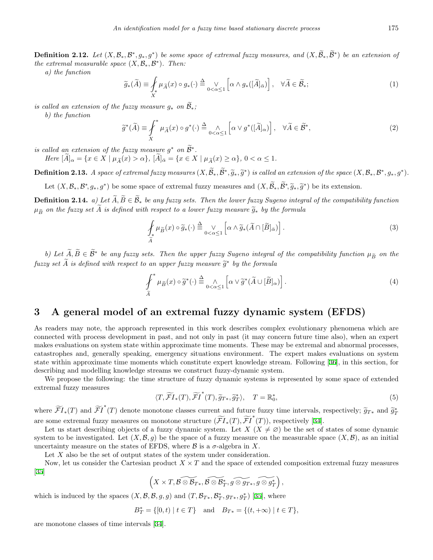**Definition 2.12.** Let  $(X, \mathcal{B}_*, \mathcal{B}^*, g_*, g^*)$  be some space of extremal fuzzy measures, and  $(X, \mathcal{B}_*, \mathcal{B}^*)$  be an extension of *the extremal measurable space*  $(X, \mathcal{B}_*, \mathcal{B}^*)$ *. Then:* 

*a) the function*

$$
\widetilde{g}_{*}(\widetilde{A}) \equiv \oint_{X} \mu_{\widetilde{A}}(x) \circ g_{*}(\cdot) \stackrel{\Delta}{=} \bigvee_{0 < \alpha \le 1} \left[ \alpha \wedge g_{*}([\widetilde{A}]_{\bar{\alpha}}) \right], \quad \forall \widetilde{A} \in \widetilde{\mathcal{B}}_{*};
$$
\n(1)

*is called an extension of the fuzzy measure*  $g_*$  *on*  $\widetilde{\mathcal{B}}_*$ ;

*b) the function*

$$
\widetilde{g}^*(\widetilde{A}) \equiv \int_X^* \mu_{\widetilde{A}}(x) \circ g^*(\cdot) \stackrel{\Delta}{=} \bigwedge_{0 < \alpha \le 1} \left[ \alpha \vee g^*([\widetilde{A}]_\alpha) \right], \quad \forall \widetilde{A} \in \widetilde{\mathcal{B}}^*,
$$
\n(2)

*is called an extension of the fuzzy measure*  $g^*$  *on*  $B^*$ .

Here  $[\widetilde{A}]_{\alpha} = \{x \in X \mid \mu_{\widetilde{A}}(x) > \alpha\}, \ [\widetilde{A}]_{\overline{\alpha}} = \{x \in X \mid \mu_{\widetilde{A}}(x) \geq \alpha\}, 0 < \alpha \leq 1.$ 

**Definition 2.13.** A space of extremal fuzzy measures  $(X, \mathcal{B}_*, \tilde{g}^*, \tilde{g}^*)$  is called an extension of the space  $(X, \mathcal{B}_*, \mathcal{B}^*, g_*, g^*)$ .

Let  $(X, \mathcal{B}_*, \mathcal{B}^*, g_*, g^*)$  be some space of extremal fuzzy measures and  $(X, \mathcal{B}_*, \mathcal{B}^*, \widetilde{g}^*)$  be its extension.

**Definition 2.14.** *a)* Let  $\widetilde{A}, \widetilde{B} \in \widetilde{\mathcal{B}}_*$  be any fuzzy sets. Then the lower fuzzy Sugeno integral of the compatibility function  $\mu_{\widetilde{B}}$  *on the fuzzy set*  $\widetilde{A}$  *is defined with respect to a lower fuzzy measure*  $\widetilde{g}_*$  *by the formula* 

$$
\mathcal{J}_{*} \mu_{\widetilde{B}}(x) \circ \widetilde{g}_{*}(\cdot) \stackrel{\Delta}{=} \bigvee_{0 < \alpha \leq 1} \left[ \alpha \wedge \widetilde{g}_{*}(\widetilde{A} \cap [\widetilde{B}]_{\bar{\alpha}}) \right].
$$
\n(3)

*b)* Let  $A, B \in \mathcal{B}^*$  be any fuzzy sets. Then the upper fuzzy Sugeno integral of the compatibility function  $\mu_{\widetilde{B}}$  on the  $fuzzy set A$  *is defined with respect to an upper fuzzy measure*  $\widetilde{g}^*$  *by the formula* 

$$
\int_{\tilde{A}}^* \mu_{\tilde{B}}(x) \circ \tilde{g}^*(\cdot) \stackrel{\Delta}{=} \bigwedge_{0 < \alpha \le 1} \left[ \alpha \vee \tilde{g}^*(\tilde{A} \cup [\tilde{B}]_{\alpha}) \right].
$$
\n(4)

## **3 A general model of an extremal fuzzy dynamic system (EFDS)**

As readers may note, the approach represented in this work describes complex evolutionary phenomena which are connected with process development in past, and not only in past (it may concern future time also), when an expert makes evaluations on system state within approximate time moments. These may be extremal and abnormal processes, catastrophes and, generally speaking, emergency situations environment. The expert makes evaluations on system state within approximate time moments which constitute expert knowledge stream. Following [[36\]](#page-17-15), in this section, for describing and modelling knowledge streams we construct fuzzy-dynamic system.

We propose the following: the time structure of fuzzy dynamic systems is represented by some space of extended extremal fuzzy measures

$$
\langle T, \widetilde{\mathcal{FI}}_*(T), \widetilde{\mathcal{FI}}^*(T), \widetilde{g}_{T*}, \widetilde{g}_T^*\rangle, \quad T = \mathbb{R}_0^*,\tag{5}
$$

where  $\widetilde{FI}_*(T)$  and  $\widetilde{FI}^*(T)$  denote monotone classes current and future fuzzy time intervals, respectively;  $\widetilde{g}_{T*}$  and  $\widetilde{g}_T^*$ are some extremal fuzzy measures on monotone structure  $(\widetilde{FI}_*(T), \widetilde{FI}^*(T))$ , respectively [\[34](#page-17-11)].

Let us start describing objects of a fuzzy dynamic system. Let  $X$  ( $X \neq \emptyset$ ) be the set of states of some dynamic system to be investigated. Let  $(X, \mathcal{B}, g)$  be the space of a fuzzy measure on the measurable space  $(X, \mathcal{B})$ , as an initial uncertainty measure on the states of EFDS, where  $\beta$  is a  $\sigma$ -algebra in X.

Let *X* also be the set of output states of the system under consideration.

Now, let us consider the Cartesian product *X × T* and the space of extended composition extremal fuzzy measures [[35\]](#page-17-12)

$$
\left(X\times T,\mathcal{B}\widetilde{\otimes \mathcal{B}_{T*}},\mathcal{B}\widetilde{\otimes \mathcal{B}_{T}^*},\widetilde{g\otimes g_{T*}},\widetilde{g\otimes g_{T}^*}\right),
$$

which is induced by the spaces  $(X, \mathcal{B}, \mathcal{B}, g, g)$  and  $(T, \mathcal{B}_{T^*}, \mathcal{B}_{T^*}^*, g_{T^*}, g_T^*)$  [[35\]](#page-17-12), where

$$
B_T^* = \{ [0, t) \mid t \in T \} \quad \text{and} \quad B_{T*} = \{ (t, +\infty) \mid t \in T \},
$$

are monotone classes of time intervals [\[34](#page-17-11)].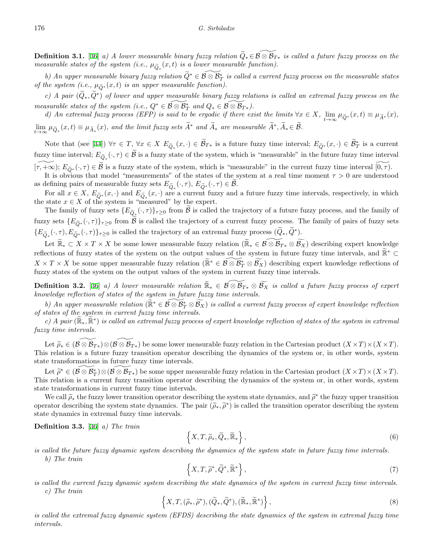**Definition 3.1.** [[36\]](#page-17-15) *a)* A lower measurable binary fuzzy relation  $\widetilde{Q}_* \in \widetilde{B \otimes B_{T*}}$  is called a future fuzzy process on the *measurable states of the system (i.e.,*  $\mu_{\tilde{Q}_*}(x,t)$  *is a lower measurable function).* 

*b)* An upper measurable binary fuzzy relation  $\widetilde{Q}^* \in \mathcal{B} \otimes \mathcal{B}^*$  is called a current fuzzy process on the measurable states *of the system (i.e.,*  $\mu_{\tilde{O}^*}(x,t)$  *is an upper measurable function).* 

*c) A pair* (*Q*e*∗, <sup>Q</sup>*e*<sup>∗</sup>* ) *of lower and upper measurable binary fuzzy relations is called an extremal fuzzy process on the measurable states of the system (i.e.,*  $Q^* \in \mathcal{B} \otimes \mathcal{B}_T^*$  *and*  $Q_* \in \mathcal{B} \otimes \mathcal{B}_{T*}$ *).* 

d) An extremal fuzzy process (EFP) is said to be ergodic if there exist the limits  $\forall x \in X$ ,  $\lim_{t \to \infty} \mu_{\tilde{Q}^*}(x,t) \equiv \mu_{\tilde{A}^*}(x)$ ,  $\lim_{t\to\infty}\mu_{\widetilde{Q}_*}(x,t)\equiv\mu_{\widetilde{A}_*}(x)$ , and the limit fuzzy sets  $A^*$  and  $A_*$  are measurable  $A^*, A_* \in \mathcal{B}$ .

Note that (see [\[34](#page-17-11)])  $\forall \tau \in T$ ,  $\forall x \in X$   $E_{\widetilde{Q}_*}(x,\cdot) \in \mathcal{B}_{T*}$  is a future fuzzy time interval;  $E_{\widetilde{Q}^*}(x,\cdot) \in \mathcal{B}^*_T$  is a current fuzzy time interval;  $E_{\tilde{Q}_*}(\cdot, \tau) \in \mathcal{B}$  is a fuzzy state of the system, which is "measurable" in the future fuzzy time interval  $[\tau, +\infty); E_{\tilde{O}^*}(\cdot, \tau) \in \tilde{B}$  is a fuzzy state of the system, which is "measurable" in the current fuzzy time interval  $[0, \tau)$ .

It is obvious that model "measurements" of the states of the system at a real time moment  $\tau > 0$  are understood as defining pairs of measurable fuzzy sets  $E_{\tilde{Q}_*}(\cdot, \tau)$ ,  $E_{\tilde{Q}^*}(\cdot, \tau) \in \mathcal{B}$ .

For all  $x \in X$ ,  $E_{\tilde{Q}^*}(x, \cdot)$  and  $E_{\tilde{Q}_*}(x, \cdot)$  are a current fuzzy and a future fuzzy time intervals, respectively, in which the state  $x \in X$  of the system is "measured" by the expert.

The family of fuzzy sets  ${E_{\tilde{Q}_{\ast}^*}}(\cdot, \tau) \}_{\tau \geq 0}$  from  $\mathcal B$  is called the trajectory of a future fuzzy process, and the family of fuzzy sets  ${E_{\tilde{O}^*}(\cdot, \tau)}_{\tau \geq 0}$  from  $\tilde{B}$  is called the trajectory of a current fuzzy process. The family of pairs of fuzzy sets  $\{E_{\widetilde{Q}_{*}}(\cdot,\tau),E_{\widetilde{Q}^{*}}(\cdot,\tau)\}_{\tau\geq 0}$  is called the trajectory of an extremal fuzzy process  $(Q_*,Q^*)$ .

Let  $\widetilde{\mathbb{R}}_* \subset X \times T \times X$  be some lower measurable fuzzy relation  $(\widetilde{\mathbb{R}}_* \in \widetilde{\mathcal{B} \otimes \mathcal{B}_{T*}} \otimes \widetilde{\mathcal{B}_X})$  describing expert knowledge reflections of fuzzy states of the system on the output values of the system in future fuzzy time intervals, and  $\mathbb{R}^*$  ⊂  $X \times T \times X$  be some upper measurable fuzzy relation ( $\mathbb{R}^* \in \mathcal{B} \otimes \mathcal{B}^*_T \otimes \mathcal{B}^-_X$ ) describing expert knowledge reflections of fuzzy states of the system on the output values of the system in current fuzzy time intervals.

**Definition 3.2.** [\[36](#page-17-15)] *a)* A lower measurable relation  $\widetilde{\mathbb{R}}_* \in \mathcal{B} \otimes \mathcal{B}_{T_*} \otimes \widetilde{\mathcal{B}_X}$  is called a future fuzzy process of expert *knowledge reflection of states of the system in future fuzzy time intervals.*

*b)* An upper measurable relation  $(\mathbb{R}^* \in \mathcal{B} \otimes \mathcal{B}^*_T \otimes \mathcal{B}^*_X)$  is called a current fuzzy process of expert knowledge reflection *of states of the system in current fuzzy time intervals.*

*c*) *A* pair ( $\mathbb{R}_*, \mathbb{R}^*$ ) is called an extremal fuzzy process of expert knowledge reflection of states of the system in extremal *fuzzy time intervals.*

Let  $\widetilde{\rho}_* \in (\mathcal{B} \otimes \mathcal{B}_{T*}) \otimes (\mathcal{B} \otimes \mathcal{B}_{T*})$  be some lower measurable fuzzy relation in the Cartesian product  $(X \times T) \times (X \times T)$ . This relation is a future fuzzy transition operator describing the dynamics of the system or, in other words, system state transformations in future fuzzy time intervals.

Let  $\widetilde{\rho}^* \in (\mathcal{B} \otimes \mathcal{B}_{T}^*) \otimes (\mathcal{B} \otimes \mathcal{B}_{T^*})$  be some upper measurable fuzzy relation in the Cartesian product  $(X \times T) \times (X \times T)$ . This relation is a current fuzzy transition operator describing the dynamics of the system or, in other words, system state transformations in current fuzzy time intervals.

We call  $\tilde{\rho}_*$  the fuzzy lower transition operator describing the system state dynamics, and  $\tilde{\rho}^*$  the fuzzy upper transition<br>rator describing the system state dynamics. The pair  $(\tilde{\rho}^*, \tilde{\rho}^*)$  is called the t operator describing the system state dynamics. The pair  $(\tilde{\rho}_*, \tilde{\rho}^*)$  is called the transition operator describing the system state dynamics in oxtromal fuzzy time intervals state dynamics in extremal fuzzy time intervals.

**Definition 3.3.** [\[36](#page-17-15)] *a) The train*

$$
\left\{X, T, \widetilde{\rho}_*, \widetilde{Q}_*, \widetilde{\mathbb{R}}_*\right\},\tag{6}
$$

*is called the future fuzzy dynamic system describing the dynamics of the system state in future fuzzy time intervals. b) The train*

$$
\left\{X, T, \widetilde{\rho}^*, \widetilde{Q}^*, \widetilde{\mathbb{R}}^*\right\},\tag{7}
$$

<span id="page-5-0"></span>*is called the current fuzzy dynamic system describing the state dynamics of the system in current fuzzy time intervals. c) The train*

$$
\left\{X, T, (\widetilde{\rho}_*, \widetilde{\rho}^*), (\widetilde{Q}_*, \widetilde{Q}^*), (\widetilde{\mathbb{R}}_*, \widetilde{\mathbb{R}}^*)\right\},\tag{8}
$$

*is called the extremal fuzzy dynamic system (EFDS) describing the state dynamics of the system in extremal fuzzy time intervals.*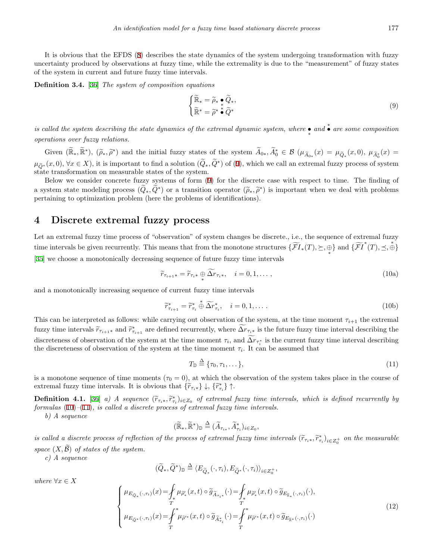It is obvious that the EFDS ([8](#page-5-0)) describes the state dynamics of the system undergoing transformation with fuzzy uncertainty produced by observations at fuzzy time, while the extremality is due to the "measurement" of fuzzy states of the system in current and future fuzzy time intervals.

**Definition 3.4.** [\[36](#page-17-15)] *The system of composition equations*

<span id="page-6-0"></span>
$$
\begin{cases} \widetilde{\mathbb{R}}_{*} = \widetilde{\rho}_{*} \bullet \widetilde{Q}_{*}, \\ \widetilde{\mathbb{R}}^{*} = \widetilde{\rho}^{*} \bullet \widetilde{Q}^{*} \end{cases}
$$
\n(9)

*is called the system describing the state dynamics of the extremal dynamic system, where • and <sup>∗</sup> • are some composition ∗ operations over fuzzy relations.*

Given  $(\mathbb{R}_*, \mathbb{R}^*)$ ,  $(\widetilde{\rho}_*, \widetilde{\rho}^*)$  and the initial fuzzy states of the system  $A_{0*}, A_0^* \in \mathcal{B}$   $(\mu_{\widetilde{A}_{0*}}(x) = \mu_{\widetilde{Q}_*}(x,0), \mu_{\widetilde{A}_0^*}(x) =$  $\mu_{\tilde{Q}^*}(x,0), \forall x \in X$ , it is important to find a solution  $(Q_*, Q^*)$  of ([9\)](#page-6-0), which we call an extremal fuzzy process of system state transformation on measurable states of the system.

Below we consider concrete fuzzy systems of form ([9\)](#page-6-0) for the discrete case with respect to time. The finding of a system state modeling process  $(Q_*, Q^*)$  or a transition operator  $(\tilde{\rho}_*, \tilde{\rho}^*)$  is important when we deal with problems<br>pertaining to optimization problem (here the problems of identifications) pertaining to optimization problem (here the problems of identifications).

### **4 Discrete extremal fuzzy process**

Let an extremal fuzzy time process of "observation" of system changes be discrete., i.e., the sequence of extremal fuzzy time intervals be given recurrently. This means that from the monotone structures  $\{\widetilde{\mathcal{FI}}_*(T), \succeq, \bigoplus_*\}$  and  $\{\widetilde{\mathcal{FI}}^*(T), \preceq, \overset{*}{\oplus}\}$ *∗* [[35\]](#page-17-12) we choose a monotonically decreasing sequence of future fuzzy time intervals

<span id="page-6-1"></span>
$$
\widetilde{r}_{\tau_{i+1}*} = \widetilde{r}_{\tau_i*} \oplus \widetilde{\Delta r}_{\tau_i*}, \quad i = 0, 1, \dots,
$$
\n(10a)

and a monotonically increasing sequence of current fuzzy time intervals

$$
\widetilde{r}_{\tau_{i+1}}^* = \widetilde{r}_{\tau_i}^* \stackrel{*}{\oplus} \widetilde{\Delta r}_{\tau_i}^*, \quad i = 0, 1, \dots \tag{10b}
$$

This can be interpreted as follows: while carrying out observation of the system, at the time moment  $\tau_{i+1}$  the extremal fuzzy time intervals  $\widetilde{r}_{\tau_{i+1}}$  and  $\widetilde{r}_{\tau_{i+1}}^*$  are defined recurrently, where  $\Delta r_{\tau_{i}}$  is the future fuzzy time interval describing the discreteness of observation of the system at the time moment  $\tau_i$ , and  $\Delta r_{\tau_i^*}$  is the current fuzzy time interval describing the discreteness of observation of the system at the time moment  $\tau_i$ . It can be assumed that

$$
T_{\mathbb{D}} \stackrel{\Delta}{=} \{\tau_0, \tau_1, \dots\},\tag{11}
$$

is a monotone sequence of time moments  $(\tau_0 = 0)$ , at which the observation of the system takes place in the course of extremal fuzzy time intervals. It is obvious that  $\{\tilde{r}_{\tau_i *}\}\downarrow$ ,  $\{\tilde{r}_{\tau_i *}^*\}\uparrow$ .

**Definition 4.1.** [[36\]](#page-17-15) a) A sequence  $(\widetilde{r}_{\tau_i}, \widetilde{r}_{\tau_i})_{i \in Z_0}$  of extremal fuzzy time intervals, which is defined recurrently by<br>formulas (10)–(11) is called a discrete process of extremal fuzzy time intervals *formulas* ([10\)](#page-6-1)*–*([11\)](#page-6-2)*, is called a discrete process of extremal fuzzy time intervals.*

*b) A sequence*

$$
(\widetilde{\mathbb{R}}_*, \widetilde{\mathbb{R}}^*)_{\mathbb{D}} \stackrel{\Delta}{=} (\widetilde{A}_{\tau_{i*}}, \widetilde{A}_{\tau_i}^*)_{i \in Z_0},
$$

is called a discrete process of reflection of the process of extremal fuzzy time intervals  $(\widetilde{r}_{\tau_i\ast}, \widetilde{r}_{\tau_i\ast}^*)_{i \in Z_0^+}$  on the measurable *space*  $(X, \widetilde{B})$  *of states of the system.* 

*c) A sequence*

$$
(\widetilde{Q}_*, \widetilde{Q}^*)_{\mathbb{D}} \stackrel{\Delta}{=} \langle E_{\widetilde{Q}_*}(\cdot, \tau_i), E_{\widetilde{Q}^*}(\cdot, \tau_i) \rangle_{i \in Z_0^+}
$$

 $where \forall x \in X$ 

$$
\begin{cases}\n\mu_{E_{\widetilde{Q}_{*}}(\cdot,\tau_{i})}(x) = \int_{\tau}^{\tau} \mu_{\widetilde{\rho}_{*}'}(x,t) \circ \widetilde{g}_{\widetilde{A}_{\tau_{i}*}}(\cdot) = \int_{\tau}^{\tau} \mu_{\widetilde{\rho}_{*}'}(x,t) \circ \widetilde{g}_{E_{\widetilde{\mathbb{R}}_{*}}(\cdot,\tau_{i})}(\cdot), \\
\mu_{E_{\widetilde{Q}^{*}}(\cdot,\tau_{i})}(x) = \int_{T}^{\tau} \mu_{\widetilde{\rho}'}(x,t) \circ \widetilde{g}_{\widetilde{A}_{\tau_{i}}^{*}}(\cdot) = \int_{T}^{\tau} \mu_{\widetilde{\rho}'}(x,t) \circ \widetilde{g}_{E_{\widetilde{\mathbb{R}}^{*}}(\cdot,\tau_{i})}(\cdot)\n\end{cases} (12)
$$

<span id="page-6-2"></span>*,*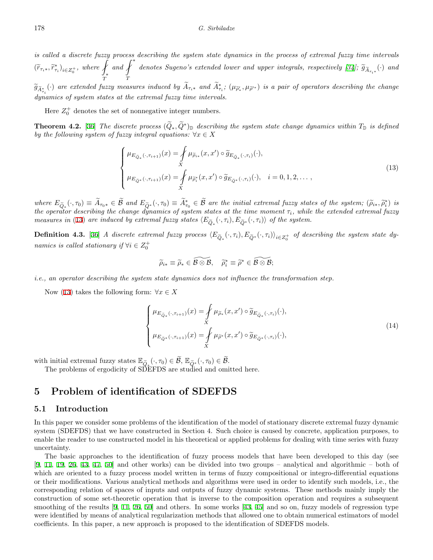*is called a discrete fuzzy process describing the system state dynamics in the process of extremal fuzzy time intervals*  $(\widetilde{r}_{\tau_i\ast}, \widetilde{r}_{\tau_i}^*)_{i \in Z_0^+}$ , where  $\int_{\ast}$ *∗ T*  $and \nvert f^*$ *f T denotes Sugeno's extended lower and upper integrals, respectively [[34\]](#page-17-11)<sup><i>;*</sup>  $\widetilde{g}_{\widetilde{A}_{\tau_i^*}}(\cdot)$  and<br>*T* 

 $\widetilde{g}_{\widetilde{A}^*_{\tau_i}}(\cdot)$  are extended fuzzy measures induced by  $A_{\tau_i*}$  and  $A^*_{\tau_i}$ ;  $(\mu_{\widetilde{\rho}'_*}, \mu_{\widetilde{\rho}'^*})$  is a pair of operators describing the change *dynamics of system states at the extremal fuzzy time intervals.*

Here  $Z_0^+$  denotes the set of nonnegative integer numbers.

**Theorem 4.2.** [\[36\]](#page-17-15) *The discrete process*  $(Q_*, Q^*)$  *describing the system state change dynamics within*  $T_{\mathbb{D}}$  *is defined by the following system of fuzzy integral equations:*  $\forall x \in X$ 

<span id="page-7-0"></span>
$$
\begin{cases}\n\mu_{E_{\widetilde{Q}_*}(\cdot,\tau_{i+1})}(x) = \underset{X}{\int} \mu_{\widetilde{\rho}_{i*}}(x,x') \circ \widetilde{g}_{E_{\widetilde{Q}_*}(\cdot,\tau_i)}(\cdot), \\
\mu_{E_{\widetilde{Q}^*}(\cdot,\tau_{i+1})}(x) = \underset{X}{\int} \mu_{\widetilde{\rho}_i^*}(x,x') \circ \widetilde{g}_{E_{\widetilde{Q}^*}(\cdot,\tau_i)}(\cdot), \quad i = 0, 1, 2, \dots,\n\end{cases}
$$
\n(13)

where  $E_{\tilde{Q}_*}(\cdot, \tau_0) \equiv A_{\tau_0 *} \in \mathcal{B}$  and  $E_{\tilde{Q}^*}(\cdot, \tau_0) \equiv A_{\tau_0}^* \in \mathcal{B}$  are the initial extremal fuzzy states of the system;  $(\tilde{\rho}_{i*}, \tilde{\rho}_i^*)$  is<br>the operator describing the change dynamics of system s *the operator describing the change dynamics of system states at the time moment*  $\tau_i$ *, while the extended extremal fuzzy measures in* ([13\)](#page-7-0) *are induced by extremal fuzzy states*  $\langle E_{\tilde{Q}_*}(\cdot,\tau_i), E_{\tilde{Q}^*}(\cdot,\tau_i) \rangle$  *of the system.* 

**Definition 4.3.** [[36\]](#page-17-15) A discrete extremal fuzzy process  $\langle E_{\widetilde{Q}_*}(\cdot,\tau_i), E_{\widetilde{Q}^*}(\cdot,\tau_i)\rangle_{i\in Z_0^+}$  of describing the system state dy*namics is called stationary if*  $\forall i \in Z_0^+$ 

<span id="page-7-1"></span>
$$
\widetilde{\rho}_{i*} \equiv \widetilde{\rho}_* \in \widetilde{\mathcal{B} \otimes \mathcal{B}}, \quad \widetilde{\rho}_i^* \equiv \widetilde{\rho}^* \in \widetilde{\mathcal{B} \otimes \mathcal{B}};
$$

*i.e., an operator describing the system state dynamics does not influence the transformation step.*

Now ([13\)](#page-7-0) takes the following form:  $\forall x \in X$ 

$$
\begin{cases}\n\mu_{E_{\widetilde{Q}_*}(\cdot,\tau_{i+1})}(x) = \int_X \mu_{\widetilde{\rho}_*}(x,x') \circ \widetilde{g}_{E_{\widetilde{Q}_*}(\cdot,\tau_i)}(\cdot), \\
\mu_{E_{\widetilde{Q}^*}(\cdot,\tau_{i+1})}(x) = \int_X \mu_{\widetilde{\rho}^*}(x,x') \circ \widetilde{g}_{E_{\widetilde{Q}^*}(\cdot,\tau_i)}(\cdot),\n\end{cases} (14)
$$

with initial extremal fuzzy states  $\mathbb{E}_{\tilde{Q}_*}(\cdot, \tau_0) \in \mathcal{B}$ ,  $\mathbb{E}_{\tilde{Q}^*}(\cdot, \tau_0) \in \mathcal{B}$ .<br>The problems of ergodicity of SDEFDS are studied and omitted here.

## **5 Problem of identification of SDEFDS**

#### **5.1 Introduction**

In this paper we consider some problems of the identification of the model of stationary discrete extremal fuzzy dynamic system (SDEFDS) that we have constructed in Section 4. Such choice is caused by concrete, application purposes, to enable the reader to use constructed model in his theoretical or applied problems for dealing with time series with fuzzy uncertainty.

The basic approaches to the identification of fuzzy process models that have been developed to this day (see [[9,](#page-15-6) [11](#page-16-7), [19](#page-16-9), [26](#page-16-20), [43](#page-17-16), [47,](#page-17-7) [50\]](#page-17-9) and other works) can be divided into two groups – analytical and algorithmic – both of which are oriented to a fuzzy process model written in terms of fuzzy compositional or integro-differential equations or their modifications. Various analytical methods and algorithms were used in order to identify such models, i.e., the corresponding relation of spaces of inputs and outputs of fuzzy dynamic systems. These methods mainly imply the construction of some set-theoretic operation that is inverse to the composition operation and requires a subsequent smoothing of the results [[9,](#page-15-6) [11](#page-16-7), [26](#page-16-20), [50\]](#page-17-9) and others. In some works [[43,](#page-17-16) [45](#page-17-17)] and so on, fuzzy models of regression type were identified by means of analytical regularization methods that allowed one to obtain numerical estimators of model coefficients. In this paper, a new approach is proposed to the identification of SDEFDS models.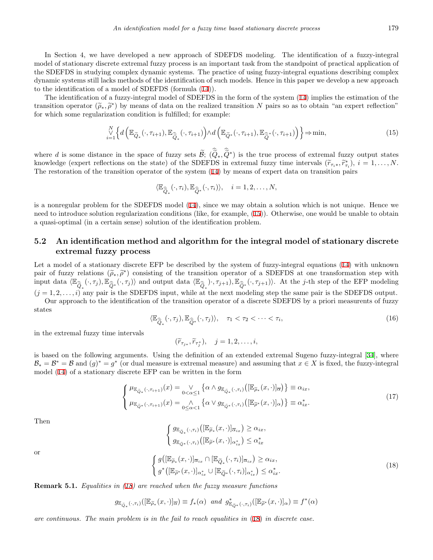In Section 4, we have developed a new approach of SDEFDS modeling. The identification of a fuzzy-integral model of stationary discrete extremal fuzzy process is an important task from the standpoint of practical application of the SDEFDS in studying complex dynamic systems. The practice of using fuzzy-integral equations describing complex dynamic systems still lacks methods of the identification of such models. Hence in this paper we develop a new approach to the identification of a model of SDEFDS (formula [\(14](#page-7-1))).

The identification of a fuzzy-integral model of SDEFDS in the form of the system ([14](#page-7-1)) implies the estimation of the transition operator  $(\tilde{\rho}_*, \tilde{\rho}^*)$  by means of data on the realized transition *N* pairs so as to obtain "an expert reflection"<br>for which some regularization condition is fulfilled: for example: for which some regularization condition is fulfilled; for example:

$$
\bigvee_{i=1}^{N} \left\{ d \left( \mathbb{E}_{\widetilde{Q}_*} (\cdot, \tau_{i+1}), \mathbb{E}_{\widehat{\widetilde{Q}}_*} (\cdot, \tau_{i+1}) \right) \wedge d \left( \mathbb{E}_{\widetilde{Q}^*} (\cdot, \tau_{i+1}), \mathbb{E}_{\widehat{\widetilde{Q}}}^* (\cdot, \tau_{i+1}) \right) \right\} \Rightarrow \min, \tag{15}
$$

where *d* is some distance in the space of fuzzy sets  $\mathcal{B}$ ;  $(Q_*, Q^*)$  is the true process of extremal fuzzy output states knowledge (expert reflections on the state) of the SDEFDS in extremal fuzzy time intervals  $(\tilde{r}_{\tau_i *}, \tilde{r}_{\tau_i}^*)$ ,  $i = 1, \ldots, N$ .<br>The restoration of the transition energtor of the system (14) by means of expect data on The restoration of the transition operator of the system ([14\)](#page-7-1) by means of expert data on transition pairs

<span id="page-8-0"></span>
$$
\langle \mathbb{E}_{\widehat{\widehat{Q}}_*}(\cdot, \tau_i), \mathbb{E}_{\widehat{\widehat{Q}}^*}(\cdot, \tau_i) \rangle, \quad i = 1, 2, \ldots, N,
$$

is a nonregular problem for the SDEFDS model ([14](#page-7-1)), since we may obtain a solution which is not unique. Hence we need to introduce solution regularization conditions (like, for example, ([15\)](#page-8-0)). Otherwise, one would be unable to obtain a quasi-optimal (in a certain sense) solution of the identification problem.

### **5.2 An identification method and algorithm for the integral model of stationary discrete extremal fuzzy process**

Let a model of a stationary discrete EFP be described by the system of fuzzy-integral equations ([14\)](#page-7-1) with unknown pair of fuzzy relations  $(\tilde{\rho}_*, \tilde{\rho}^*)$  consisting of the transition operator of a SDEFDS at one transformation step with<br>input data  $(\mathbb{F}_{\alpha}, (\mathcal{F}_{\alpha})^{\mathbb{F}_{\alpha}}$  ( $(\mathcal{F}_{\alpha})^{\mathbb{F}_{\alpha}}$ ) and output data  $(\mathbb{F}_{\alpha})^{\mathbb{$ input data  $\langle \mathbb{E}_{\widehat{Q}_*}(\cdot, \tau_j), \mathbb{E}_{\widehat{Q}_*}(\cdot, \tau_j) \rangle$  and output data  $\langle \mathbb{E}_{\widehat{Q}_*}(\cdot, \tau_{j+1}), \mathbb{E}_{\widehat{Q}_*}(\cdot, \tau_{j+1}) \rangle$ . At the *j*-th step of the EFP modeling  $(j = 1, 2, \ldots, i)$  any pair is the SDEFDS input, while at the next modeling step the same pair is the SDEFDS output. Our approach to the identification of the transition operator of a discrete SDEFDS by a priori measurents of fuzzy

<span id="page-8-2"></span>states

$$
\langle \mathbb{E}_{\widehat{Q}_*}(\cdot, \tau_j), \mathbb{E}_{\widehat{Q}^*}(\cdot, \tau_j) \rangle, \quad \tau_1 < \tau_2 < \cdots < \tau_i,\tag{16}
$$

in the extremal fuzzy time intervals

 $(\widetilde{r}_{\tau_{j*}}, \widetilde{r}_{\tau_{j}^{*}}), \quad j = 1, 2, \ldots, i,$ 

is based on the following arguments. Using the definition of an extended extremal Sugeno fuzzy-integral [[34\]](#page-17-11), where  $B_* = B^* = B$  and  $(g)^* = g^*$  (or dual measure is extremal measure) and assuming that  $x \in X$  is fixed, the fuzzy-integral model ([14\)](#page-7-1) of a stationary discrete EFP can be written in the form

$$
\begin{cases}\n\mu_{\mathbb{E}_{\tilde{Q}_{*}}(\cdot,\tau_{i+1})}(x) = \bigvee_{0<\alpha\leq 1} \left\{\alpha \wedge g_{\mathbb{E}_{\tilde{Q}_{*}}(\cdot,\tau_{i})}\left([\mathbb{E}_{\tilde{\rho}_{*}}(x,\cdot)]_{\overline{\alpha}}\right)\right\} \equiv \alpha_{ix}, \\
\mu_{\mathbb{E}_{\tilde{Q}^{*}}(\cdot,\tau_{i+1})}(x) = \bigwedge_{0\leq\alpha<1} \left\{\alpha \vee g_{\mathbb{E}_{\tilde{Q}^{*}}(\cdot,\tau_{i})}\left([\mathbb{E}_{\tilde{\rho}^{*}}(x,\cdot)]_{\alpha}\right)\right\} \equiv \alpha_{ix}^{*}.\n\end{cases}
$$
\n(17)

Then

$$
\begin{cases}\ng_{\mathbb{E}_{\widetilde{Q}_{*}}(\cdot,\tau_{i})}\left([\mathbb{E}_{\widetilde{\rho}_{*}}(x,\cdot)]_{\overline{\alpha}_{ix}}\right) \geq \alpha_{ix}, \\
g_{\mathbb{E}_{\widetilde{Q}^{*}}(\cdot,\tau_{i})}\left([\mathbb{E}_{\widetilde{\rho}^{*}}(x,\cdot)]_{\alpha_{ix}^{*}}\right) \leq \alpha_{ix}^{*} \\
\ng\left([\mathbb{E}_{\widetilde{\rho}_{*}}(x,\cdot)]_{\overline{\alpha}_{ix}} \cap [\mathbb{E}_{\widetilde{Q}_{*}}(\cdot,\tau_{i})]_{\overline{\alpha}_{ix}}\right) \geq \alpha_{ix}, \\
\pi_{i}(\tau_{i},\tau_{i}) \geq \alpha_{i}^{*}.\n\end{cases} \tag{18}
$$

<span id="page-8-1"></span>or

$$
\left\{ g^*([\mathbb{E}_{\widetilde{\rho}^*}(x,\cdot)]_{\alpha_{ix}^*} \cup [\mathbb{E}_{\widetilde{Q}^*}(\cdot,\tau_i)]_{\alpha_{ix}^*} \right\} \leq \alpha_{ix}^*.
$$
  
Remark 5.1. Equalities in (18) are reached when the fuzzy measure functions

$$
g_{\mathbb{E}_{\widetilde{Q}_{*}}(\cdot,\tau_{i})}([\mathbb{E}_{\widetilde{\rho}_{*}}(x,\cdot)]_{\overline{\alpha}}) \equiv f_{*}(\alpha) \ \ and \ \ g_{\mathbb{E}_{\widetilde{Q}^{*}}(\cdot,\tau_{i})}^{*}([\mathbb{E}_{\widetilde{\rho}^{*}}(x,\cdot)]_{\alpha}) \equiv f^{*}(\alpha)
$$

*are continuous. The main problem is in the fail to reach equalities in* [\(18](#page-8-1)) *in discrete case.*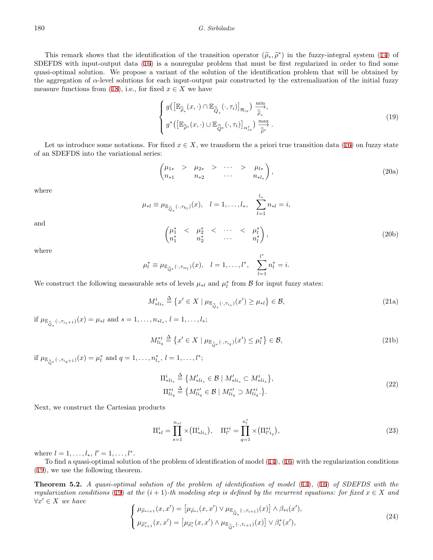#### 180 *G. Sirbiladze*

This remark shows that the identification of the transition operator  $(\widetilde{\rho}_*, \widetilde{\rho}^*)$  in the fuzzy-integral system ([14\)](#page-7-1) of<br>EEDS with input-output data (16) is a popregular problem that must be first regularized in orde SDEFDS with input-output data [\(16](#page-8-2)) is a nonregular problem that must be first regularized in order to find some quasi-optimal solution. We propose a variant of the solution of the identification problem that will be obtained by the aggregation of *α*-level solutions for each input-output pair constructed by the extremalization of the initial fuzzy measure functions from [\(18](#page-8-1)), i.e., for fixed  $x \in X$  we have

<span id="page-9-0"></span>
$$
\begin{cases} g\left(\left[\mathbb{E}_{\widehat{\rho}_*}(x,\cdot)\cap\mathbb{E}_{\widehat{\mathbb{Q}}_*}(\cdot,\tau_i)\right]_{\overline{\alpha}_{ix}}\right) \xrightarrow{\min} \\ g^*\left(\left[\mathbb{E}_{\widehat{\rho}^*}(x,\cdot)\cup\mathbb{E}_{\widehat{\mathbb{Q}}^*}(\cdot,\tau_i)\right]_{\alpha_{ix}^*}\right) \xrightarrow{\max} \\ \end{cases} . \tag{19}
$$

Let us introduce some notations. For fixed  $x \in X$ , we transform the a priori true transition data ([16\)](#page-8-2) on fuzzy state of an SDEFDS into the variational series:

<span id="page-9-5"></span>
$$
\begin{pmatrix} \mu_{1*} > & \mu_{2*} > & \cdots > & \mu_{l*} \\ n_{*1} & & n_{*2} & & \cdots & & n_{*l_*} \end{pmatrix},\tag{20a}
$$

where

$$
\mu_{*l} \equiv \mu_{\mathbb{E}_{\widehat{Q}_*}(\cdot, \tau_{k_l})}(x), \quad l = 1, \dots, l_*, \quad \sum_{l=1}^{l_*} n_{*l} = i,
$$
\n
$$
\begin{pmatrix} \mu_1^* < & \mu_2^* < & \cdots < & \mu_l^* \\ n_1^* & & n_2^* & & \cdots & & n_l^* \end{pmatrix}, \tag{20b}
$$

where

and

$$
\mu_l^* \equiv \mu_{\mathbb{E}_{\widehat{Q}^*}(\cdot, \tau_{m_l})}(x), \quad l = 1, \ldots, l^*, \quad \sum_{l=1}^{l^*} n_l^* = i.
$$

We construct the following measurable sets of levels  $\mu_{*l}$  and  $\mu_l^*$  from  $\mathcal{B}$  for input fuzzy states:

<span id="page-9-2"></span>
$$
M_{*li_s}^i \stackrel{\Delta}{=} \left\{ x' \in X \mid \mu_{\mathbb{E}_{\widehat{Q}_*}(\cdot, \tau_{i_s})}(x') \ge \mu_{*l} \right\} \in \mathcal{B},\tag{21a}
$$

if  $\mu_{\mathbb{E}_{\widehat{Q}_*}(\cdot,\tau_{i_s+1})}(x) = \mu_{*l}$  and  $s = 1,\ldots,n_{*l_*}, l = 1,\ldots,l_*;$ 

$$
M_{li_q}^{*i} \stackrel{\Delta}{=} \left\{ x' \in X \mid \mu_{\mathbb{E}_{\widehat{Q}}^*}(\cdot, \tau_{i_q})(x') \le \mu_l^* \right\} \in \mathcal{B},\tag{21b}
$$

if  $\mu_{\mathbb{E}_{\widehat{Q}}^*}(\cdot,\tau_{i_q+1})}(x) = \mu_l^*$  and  $q = 1, \ldots, n_{l_*}^*, l = 1, \ldots, l^*;$ 

$$
\Pi_{*li_s}^i \triangleq \left\{ M'_{*li_s} \in \mathcal{B} \mid M'_{*li_s} \subset M_{*li_s}^i \right\},
$$
\n
$$
\Pi_{li_q}^{*i} \triangleq \left\{ M_{li_q}^{*'} \in \mathcal{B} \mid M_{li_q}^{*'} \supset M_{li_q}^{*i} \right\}.
$$
\n
$$
(22)
$$

Next, we construct the Cartesian products

<span id="page-9-3"></span>
$$
\Pi_{*l}^{i} = \prod_{s=1}^{n_{*l}} \times (\Pi_{*li_s}^{i}), \quad \Pi_{l'}^{*i} = \prod_{q=1}^{n_l^{*}} \times (\Pi_{l'i_q}^{*i}),
$$
\n(23)

where  $l = 1, \ldots, l_*, l' = 1, \ldots, l^*.$ 

To find a quasi-optimal solution of the problem of identification of model ([14](#page-7-1)), ([16\)](#page-8-2) with the regularization conditions [\(19](#page-9-0)), we use the following theorem.

<span id="page-9-4"></span>**Theorem 5.2.** *A quasi-optimal solution of the problem of identification of model* [\(14](#page-7-1))*,* [\(16](#page-8-2)) *of SDEFDS with the regularization conditions* [\(19](#page-9-0)) at the  $(i + 1)$ *-th modeling step is defined by the recurrent equations: for fixed*  $x \in X$  *and ∀x ′ ∈ X we have*

<span id="page-9-1"></span>
$$
\begin{cases}\n\mu_{\widetilde{\rho}_{*i+1}}(x, x') = \left[\mu_{\widetilde{\rho}_{*i}}(x, x') \lor \mu_{\mathbb{E}_{\widehat{\mathbb{Q}}_{*}}(\cdot, \tau_{i+1})}(x)\right] \land \beta_{*i}(x'), \\
\mu_{\widetilde{\rho}_{i+1}}^*(x, x') = \left[\mu_{\widetilde{\rho}_{i}^*}(x, x') \land \mu_{\mathbb{E}_{\widehat{\mathbb{Q}}_{*}}(\cdot, \tau_{i+1})}(x)\right] \lor \beta_{i}^*(x'),\n\end{cases}
$$
\n(24)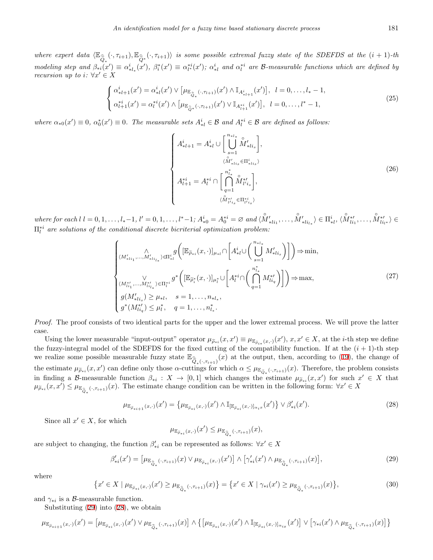where expert data  $\langle \mathbb{E}_{\widehat{Q}_*}(\cdot,\tau_{i+1}),\mathbb{E}_{\widehat{Q}_*}(\cdot,\tau_{i+1})\rangle$  is some possible extremal fuzzy state of the SDEFDS at the  $(i+1)$ -th modeling step and  $\beta_{*i}(x') \equiv \alpha_{*l_*}^i(x')$ ,  $\beta_i^*(x') \equiv \alpha_{l^*}^{*i}(x')$ ;  $\alpha_{*l}^i$  and  $\alpha_l^{*i}$  are B-measurable functions which are defined by *recursion up to i*:  $\forall x' \in X$ 

<span id="page-10-3"></span>
$$
\begin{cases}\n\alpha_{*l+1}^{i}(x') = \alpha_{*l}^{i}(x') \vee \left[ \mu_{\mathbb{E}_{\widehat{Q}_{*}}(\cdot, \tau_{l+1})}(x') \wedge \mathbb{I}_{A_{*l+1}^{i}}(x') \right], & l = 0, \dots, l_{*} - 1, \\
\alpha_{l+1}^{*i}(x') = \alpha_{l}^{*i}(x') \wedge \left[ \mu_{\mathbb{E}_{\widehat{Q}_{*}}(\cdot, \tau_{l+1})}(x') \vee \mathbb{I}_{A_{l+1}^{*i}}(x') \right], & l = 0, \dots, l^{*} - 1,\n\end{cases}
$$
\n(25)

where  $\alpha_{*0}(x') \equiv 0$ ,  $\alpha_0^*(x') \equiv 0$ . The measurable sets  $A_{*l}^i \in \mathcal{B}$  and  $A_l^{*i} \in \mathcal{B}$  are defined as follows:

<span id="page-10-2"></span>
$$
\begin{cases}\nA_{*l+1}^{i} = A_{*l}^{i} \cup \left[\bigcup_{s=1}^{n_{*l_{*}}} \overset{\circ}{M}_{*l_{is}}'\right], \\
\qquad \qquad (\overset{\circ}{M}_{*l_{is}}' \in \Pi_{*l_{is}}^{i}) \\
A_{l+1}^{*i} = A_{l}^{*i} \cap \left[\bigcap_{q=1}^{n_{l_{*}}^{*}} \overset{\circ}{M}_{l'i_{s}}^{*l}\right], \\
\qquad \qquad (\overset{\circ}{M}_{l'i_{is}}' \in \Pi_{l'i_{s}}^{*i})\n\end{cases} \tag{26}
$$

where for each  $l = 0, 1, ..., l_*-1, l' = 0, 1, ..., l^* - 1$ ;  $A_{*0}^i = A_0^{*i} = \emptyset$  and  $\langle M'_{*l_{i_1}}, ..., M'_{*l_{i_k}} \rangle \in \Pi_{*l}^i, \langle M_{l'_{i_1}}^{*'} , ..., M_{l'_{i_{l^*}}}^{*'} \rangle \in$ Π*∗<sup>i</sup> l are solutions of the conditional discrete bicriterial optimization problem:*

$$
\begin{cases}\n\bigwedge_{(M'_{*li_1},\ldots,M'_{*li_{*}})\in\Pi_{*l}^{i}} g\bigg([\mathbb{E}_{\widetilde{\rho}_{*i}}(x,\cdot)]_{\mu_{*l}}\cap\bigg[A^{i}_{*l}\cup\bigg(\bigcup_{s=1}^{n_{*l}}M'_{*li_{s}}\bigg)\bigg]\bigg)\Rightarrow\min, \\
\bigwedge_{(M''_{li_1},\ldots,M''_{li_{*}})\in\Pi_{l}^{*i}} g^{*}\bigg([\mathbb{E}_{\widetilde{\rho}_{i}^{*}}(x,\cdot)]_{\mu_{l}^{*}}\cup\bigg[A^{*i}_{l}\cap\bigg(\bigcap_{q=1}^{n^{*}_{l_{*}}}M''_{li_{q}}\bigg)\bigg]\bigg)\Rightarrow\max, \\
g(M'_{*li_{s}})\geq\mu_{*l}, \quad s=1,\ldots,n_{*l_{*}}, \\
g^{*}(M''_{li_{q}})\leq\mu_{l}^{*}, \quad q=1,\ldots,n^{*}_{l_{*}}.\n\end{cases} \tag{27}
$$

*Proof.* The proof consists of two identical parts for the upper and the lower extremal process. We will prove the latter case.

Using the lower measurable "input-output" operator  $\mu_{\widetilde{\rho}_{*i}}(x, x') \equiv \mu_{\mathbb{E}_{\widetilde{\rho}_{i*}}(x, \cdot)}(x')$ ,  $x, x' \in X$ , at the *i*-th step we define the fuzzy-integral model of the SDEFDS for the fixed cutting of the compatibility function. If at the  $(i + 1)$ -th step we realize some possible measurable fuzzy state  $\mathbb{E}_{\widehat{Q}_*(\cdot,\tau_{i+1})}(x)$  at the output, then, according to ([19\)](#page-9-0), the change of the estimate  $\mu_{\tilde{\rho}_{*i}}(x, x')$  can define only those  $\alpha$ -cuttings for which  $\alpha \leq \mu_{\mathbb{E}_{\tilde{Q}_*}(\cdot, \tau_{i+1})}(x)$ . Therefore, the problem consists in finding a B-measurable function  $\beta_{*i}: X \to [0,1]$  which changes the estimate  $\mu_{\widetilde{\rho}_{*i}}(x,x')$  for such  $x' \in X$  that  $\mu_{\widetilde{\rho}_{*i}}(x,x') \leq \mu_{\mathbb{E}_{\widehat{\mathbb{Q}}_*}(\cdot,\tau_{i+1})}(x)$ . The estimate change condition can be written in the following form:  $\forall x' \in X$ 

$$
\mu_{\mathbb{E}_{\widetilde{\rho}_{*i+1}}(x,\cdot)}(x') = \left\{ \mu_{\mathbb{E}_{\widetilde{\rho}_{*i}}(x,\cdot)}(x') \wedge \mathbb{I}_{\left[\mathbb{E}_{\widetilde{\rho}_{*i}}(x,\cdot)\right]_{\alpha_i x}}(x') \right\} \vee \beta'_{*i}(x'). \tag{28}
$$

Since all  $x' \in X$ , for which

<span id="page-10-1"></span><span id="page-10-0"></span>
$$
\mu_{\mathbb{E}_{\widetilde{\rho}_{*i}}(x,\cdot)}(x') \leq \mu_{\mathbb{E}_{\widehat{\widetilde{Q}}_{*}}(\cdot,\tau_{i+1})}(x),
$$

are subject to changing, the function  $\beta'_{*i}$  can be represented as follows:  $\forall x' \in X$ 

$$
\beta'_{*i}(x') = \left[\mu_{\mathbb{E}_{\widehat{Q}_*}(\cdot,\tau_{i+1})}(x) \lor \mu_{\mathbb{E}_{\widetilde{P}_*i}(x,\cdot)}(x')\right] \land \left[\gamma'_{*i}(x') \land \mu_{\mathbb{E}_{\widehat{Q}_*}(\cdot,\tau_{i+1})}(x)\right],\tag{29}
$$

where

$$
\{x' \in X \mid \mu_{\mathbb{E}_{\tilde{\rho}_{*i}}(x,\cdot)}(x') \ge \mu_{\mathbb{E}_{\hat{\mathbb{Q}}_{*}}(\cdot,\tau_{i+1})}(x)\} = \{x' \in X \mid \gamma_{*i}(x') \ge \mu_{\mathbb{E}_{\hat{\mathbb{Q}}_{*}}(\cdot,\tau_{i+1})}(x)\},\tag{30}
$$

and  $\gamma_{*i}$  is a *B*-measurable function.

Substituting ([29](#page-10-0)) into [\(28](#page-10-1)), we obtain

$$
\mu_{\mathbb{E}_{\widetilde{\rho}_{*i+1}}(x,\cdot)}(x') = \left[\mu_{\mathbb{E}_{\widetilde{\rho}_{*i}}(x,\cdot)}(x') \vee \mu_{\mathbb{E}_{\widehat{\mathbb{Q}}_{*}}(\cdot,\tau_{i+1})}(x)\right] \wedge \left\{ \left[\mu_{\mathbb{E}_{\widetilde{\rho}_{*i}}(x,\cdot)}(x') \wedge \mathbb{I}_{[\mathbb{E}_{\widetilde{\rho}_{*i}}(x,\cdot)]_{\alpha_{ix}}}(x')\right] \vee \left[\gamma_{*i}(x') \wedge \mu_{\mathbb{E}_{\widehat{\mathbb{Q}}_{*}}(\cdot,\tau_{i+1})}(x)\right] \right\}
$$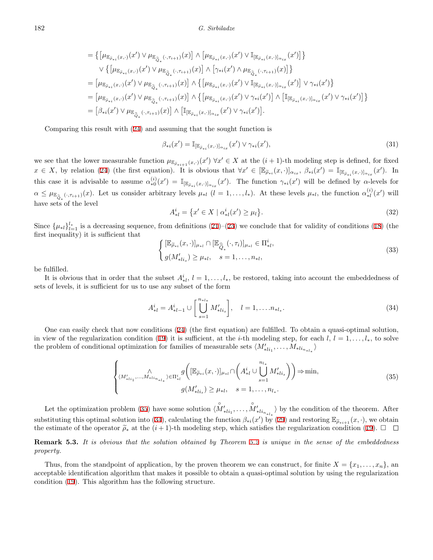$$
= \left\{ \left[\mu_{\mathbb{E}_{\widetilde{\rho}_{*i}}(x,\cdot)}(x') \vee \mu_{\mathbb{E}_{\widehat{\mathbb{Q}}_*}(\cdot,\tau_{i+1})}(x)\right] \wedge \left[\mu_{\mathbb{E}_{\widetilde{\rho}_{*i}}(x,\cdot)}(x') \vee \mathbb{I}_{[\mathbb{E}_{\widetilde{\rho}_{*i}}(x,\cdot)]_{\alpha_{ix}}}(x')\right] \right\}
$$
  

$$
\vee \left\{ \left[\mu_{\mathbb{E}_{\widetilde{\rho}_{*i}}(x,\cdot)}(x') \vee \mu_{\mathbb{E}_{\widehat{\mathbb{Q}}_*}(\cdot,\tau_{i+1})}(x)\right] \wedge \left[\gamma_{*i}(x') \wedge \mu_{\mathbb{E}_{\widehat{\mathbb{Q}}_*}(\cdot,\tau_{i+1})}(x)\right] \right\}
$$
  

$$
= \left[\mu_{\mathbb{E}_{\widetilde{\rho}_{*i}}(x,\cdot)}(x') \vee \mu_{\mathbb{E}_{\widehat{\mathbb{Q}}_*}(\cdot,\tau_{i+1})}(x)\right] \wedge \left\{ \left[\mu_{\mathbb{E}_{\widetilde{\rho}_{*i}}(x,\cdot)}(x') \vee \mathbb{I}_{[\mathbb{E}_{\widetilde{\rho}_{*i}}(x,\cdot)]_{\alpha_{ix}}}(x')\right] \vee \gamma_{*i}(x') \right\}
$$
  

$$
= \left[\mu_{\mathbb{E}_{\widetilde{\rho}_{*i}}(x,\cdot)}(x') \vee \mu_{\mathbb{E}_{\widehat{\mathbb{Q}}_*}(\cdot,\tau_{i+1})}(x)\right] \wedge \left\{ \left[\mu_{\mathbb{E}_{\widetilde{\rho}_{*i}}(x,\cdot)}(x') \vee \gamma_{*i}(x')\right] \wedge \left[\mathbb{I}_{[\mathbb{E}_{\widetilde{\rho}_{*i}}(x,\cdot)]_{\alpha_{ix}}}(x') \vee \gamma_{*i}(x')\right] \right\}
$$
  

$$
= \left[\beta_{*i}(x') \vee \mu_{\mathbb{E}_{\widehat{\mathbb{Q}}_*}(\cdot,\tau_{i+1})}(x)\right] \wedge \left[\mathbb{I}_{[\mathbb{E}_{\widetilde{\rho}_{*i}}(x,\cdot)]_{\alpha_{ix}}}(x') \vee \gamma_{*i}(x')\right].
$$

Comparing this result with [\(24](#page-9-1)) and assuming that the sought function is

$$
\beta_{*i}(x') = \mathbb{I}_{[\mathbb{E}_{\tilde{\rho}_{*i}}(x,\cdot)]_{\alpha_{ix}}}(x') \vee \gamma_{*i}(x'),\tag{31}
$$

we see that the lower measurable function  $\mu_{\mathbb{E}_{\tilde{\rho}_{*i+1}}(x,\cdot)}(x') \forall x' \in X$  at the  $(i+1)$ -th modeling step is defined, for fixed  $x \in X$ , by relation ([24\)](#page-9-1) (the first equation). It is obvious that  $\forall x' \in [\mathbb{E}_{\widetilde{\rho}_{*i}}(x,\cdot)]_{\alpha_{ix}}, \beta_{*i}(x') = \mathbb{I}_{[\mathbb{E}_{\widetilde{\rho}_{*i}}(x,\cdot)]_{\alpha_{ix}}}(x')$ . In this case it is advisable to assume  $\alpha_{*0}^{(i)}(x') = \mathbb{I}_{[\mathbb{E}_{\tilde{\rho}_{*i}}(x,\cdot)]_{\alpha_{ix}}}(x')$ . The function  $\gamma_{*i}(x')$  will be defined by  $\alpha$ -levels for  $\alpha \leq \mu_{\mathbb{E}_{\widehat{Q}_*}(\cdot,\tau_{i+1})}(x)$ . Let us consider arbitrary levels  $\mu_{*l}$   $(l = 1,\ldots,l_*)$ . At these levels  $\mu_{*l}$ , the function  $\alpha_{*l}^{(i)}$ *∗l* (*x ′* ) will have sets of the level

$$
A_{*l}^{i} = \{ x' \in X \mid \alpha_{*l}^{i}(x') \ge \mu_l \}. \tag{32}
$$

Since  $\{\mu_{*l}\}_{l=1}^{l_*}$  is a decreasing sequence, from definitions ([21](#page-9-2))–([23\)](#page-9-3) we conclude that for validity of conditions ([18](#page-8-1)) (the first inequality) it is sufficient that

<span id="page-11-1"></span>
$$
\begin{cases}\n[\mathbb{E}_{\widetilde{\rho}_{*i}}(x,\cdot)]_{\mu_{*l}} \cap [\mathbb{E}_{\widehat{\widetilde{Q}}_*}(\cdot,\tau_i)]_{\mu_{*l}} \in \Pi_{*l}^i, \\
g(M'_{*li_s}) \ge \mu_{*l}, \quad s = 1,\dots, n_{*l},\n\end{cases} \tag{33}
$$

be fulfilled.

It is obvious that in order that the subset  $A_{*l}^i$ ,  $l = 1, \ldots, l_*,$  be restored, taking into account the embeddedness of sets of levels, it is sufficient for us to use any subset of the form

<span id="page-11-0"></span>
$$
A_{*l}^{i} = A_{*l-1}^{i} \cup \left[ \bigcup_{s=1}^{n_{*l}} M_{*li_s}^{\prime} \right], \quad l = 1, \dots n_{*l_*}.
$$
 (34)

One can easily check that now conditions ([24\)](#page-9-1) (the first equation) are fulfilled. To obtain a quasi-optimal solution, in view of the regularization condition ([19\)](#page-9-0) it is sufficient, at the *i*-th modeling step, for each  $l, l = 1, \ldots, l_*$ , to solve the problem of conditional optimization for families of measurable sets  $\langle M'_{*l i_1}, \ldots, M_{*l i_{n_{*}l_{*}}}\rangle$ 

$$
\left\{ \begin{aligned} &\wedge\\ &\langle M'_{*li_1}, \dots, M_{*li_{n_{*l_*}}}\rangle \in \Pi_{*l}^{i} \mathcal{G} \left( [\mathbb{E}_{\widetilde{\rho}_{*i}}(x, \cdot)]_{\mu_{*l}} \cap \left( A_{*l}^{i} \cup \bigcup_{s=1}^{n_{l_*}} M'_{*li_s} \right) \right) \Rightarrow \min, \\ &\qquad \mathcal{G}(M'_{*li_s}) \ge \mu_{*l}, \quad s = 1, \dots, n_{l_*}. \end{aligned} \right. \tag{35}
$$

Let the optimization problem ([35\)](#page-11-0) have some solution  $\langle \hat{M}'_{*li_1}, \dots, \hat{M}'_{*li_{n_{*}l_{*}}} \rangle$  by the condition of the theorem. After substituting this optimal solution into ([34\)](#page-11-1), calculating the function  $\beta_{*i}(x')$  by [\(29](#page-10-0)) and restoring  $\mathbb{E}_{\tilde{\rho}_{*i+1}}(x, \cdot)$ , we obtain the estimate of the operator  $\tilde{\rho}_*$  at the  $(i+1)$ -th modeling step, which satisfies the regularization condition [\(19](#page-9-0)).  $\Box$ 

### **Remark 5.3.** *It is obvious that the solution obtained by Theorem [5.2](#page-9-4) is unique in the sense of the embeddedness property.*

Thus, from the standpoint of application, by the proven theorem we can construct, for finite  $X = \{x_1, \ldots, x_n\}$ , an acceptable identification algorithm that makes it possible to obtain a quasi-optimal solution by using the regularization condition ([19\)](#page-9-0). This algorithm has the following structure.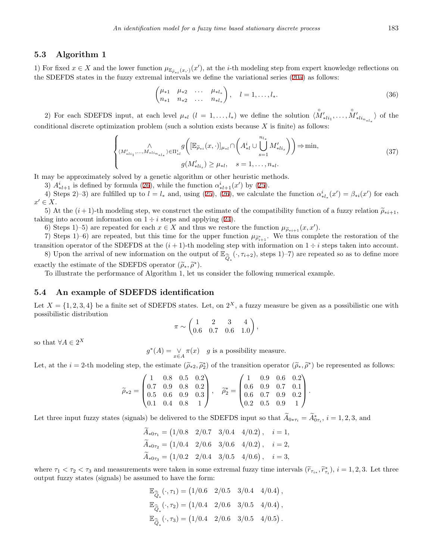### **5.3 Algorithm 1**

1) For fixed  $x \in X$  and the lower function  $\mu_{\mathbb{E}_{\tilde{\rho}_{*i}}(x,\cdot)}(x')$ , at the *i*-th modeling step from expert knowledge reflections on the SDEFDS states in the fuzzy extremal intervals we define the variational series ([20a](#page-9-5)) as follows:

<span id="page-12-0"></span>
$$
\begin{pmatrix} \mu_{*1} & \mu_{*2} & \dots & \mu_{*l_*} \\ n_{*1} & n_{*2} & \dots & n_{*l_*} \end{pmatrix}, \quad l = 1, \dots, l_*.
$$
 (36)

2) For each SDEFDS input, at each level  $\mu_{*l}$   $(l = 1, ..., l_*)$  we define the solution  $\langle \hat{M}'_{*l i_1}, ..., \hat{M}'_{*l i_{n_{*l_*}}}\rangle$  of the conditional discrete optimization problem (such a solution exists because *X* is finite) as follows:

$$
\left\{ \begin{aligned} &\wedge\\ &\langle M'_{*li_1}, \dots, M_{*li_{n_{*l_*}}}\rangle \in \Pi_{*l}^i g\left( [\mathbb{E}_{\widetilde{\rho}_{*i}}(x, \cdot)]_{\mu_{*l}} \cap \left( A^i_{*l} \cup \bigcup_{s=1}^{n_{l_*}} M'_{*li_s} \right) \right) \Rightarrow \min, \\ &g(M'_{*li_s}) \ge \mu_{*l}, \quad s = 1, \dots, n_{*l}. \end{aligned} \right. \tag{37}
$$

It may be approximately solved by a genetic algorithm or other heuristic methods.

3)  $A_{*l+1}^i$  is defined by formula ([26\)](#page-10-2), while the function  $\alpha_{*l+1}^i(x')$  by ([25\)](#page-10-3).

4) Steps 2–3) are fulfilled up to  $l = l_*$  and, using [\(25](#page-10-3)), [\(26](#page-10-2)), we calculate the function  $\alpha^i_{*l_*}(x') = \beta_{*l}(x')$  for each  $x' \in X$ .

5) At the  $(i+1)$ -th modeling step, we construct the estimate of the compatibility function of a fuzzy relation  $\tilde{\rho}_{*i+1}$ , taking into account information on  $1 \div i$  steps and applying ([24\)](#page-9-1).

6) Steps 1)–5) are repeated for each  $x \in X$  and thus we restore the function  $\mu_{\widetilde{\rho}_{*i+1}}(x, x')$ .

7) Steps 1)–6) are repeated, but this time for the upper function  $\mu_{\tilde{\rho}_{i+1}^*}$ . We thus complete the restoration of the transition operator of the SDEFDS at the  $(i + 1)$ -th modeling step with information on  $1 \div i$  steps taken into account. 8) Upon the arrival of new information on the output of  $\mathbb{E}_{\widehat{Q}_*}(\cdot, \tau_{i+2})$ , steps 1)–7) are repeated so as to define more

*∗* exactly the estimate of the SDEFDS operator  $(\widetilde{\rho}_*, \widetilde{\rho}^*)$ .<br>To illustrate the performance of Algorithm 1 let us

To illustrate the performance of Algorithm 1, let us consider the following numerical example.

#### **5.4 An example of SDEFDS identification**

Let  $X = \{1, 2, 3, 4\}$  be a finite set of SDEFDS states. Let, on  $2^X$ , a fuzzy measure be given as a possibilistic one with possibilistic distribution

$$
\pi \sim \begin{pmatrix} 1 & 2 & 3 & 4 \\ 0.6 & 0.7 & 0.6 & 1.0 \end{pmatrix},
$$

so that  $\forall A \in 2^X$ 

 $g^*(A) = \underset{x \in A}{\vee}$  $\pi(x)$  *g* is a possibility measure.

Let, at the  $i = 2$ -th modeling step, the estimate  $(\tilde{\rho}_{*2}, \tilde{\rho}_2^*)$  of the transition operator  $(\tilde{\rho}_*, \tilde{\rho}^*)$  be represented as follows:

$$
\widetilde{\rho}_{*2} = \begin{pmatrix} 1 & 0.8 & 0.5 & 0.2 \\ 0.7 & 0.9 & 0.8 & 0.2 \\ 0.5 & 0.6 & 0.9 & 0.3 \\ 0.1 & 0.4 & 0.8 & 1 \end{pmatrix}, \quad \widetilde{\rho}_{2}^{*} = \begin{pmatrix} 1 & 0.9 & 0.6 & 0.2 \\ 0.6 & 0.9 & 0.7 & 0.1 \\ 0.6 & 0.7 & 0.9 & 0.2 \\ 0.2 & 0.5 & 0.9 & 1 \end{pmatrix}.
$$

Let three input fuzzy states (signals) be delivered to the SDEFDS input so that  $A_{0*\tau_i} = A_{0\tau_i}^*$ ,  $i = 1, 2, 3$ , and

$$
\tilde{A}_{*0\tau_1} = (1/0.8 \quad 2/0.7 \quad 3/0.4 \quad 4/0.2), \quad i = 1,
$$
  

$$
\tilde{A}_{*0\tau_2} = (1/0.4 \quad 2/0.6 \quad 3/0.6 \quad 4/0.2), \quad i = 2,
$$
  

$$
\tilde{A}_{*0\tau_3} = (1/0.2 \quad 2/0.4 \quad 3/0.5 \quad 4/0.6), \quad i = 3,
$$

where  $\tau_1 < \tau_2 < \tau_3$  and measurements were taken in some extremal fuzzy time intervals  $(\tilde{r}_{\tau_{i*}}, \tilde{r}_{\tau_i}^*), i = 1, 2, 3$ . Let three<br>output fuzzy states (signals) be assumed to have the form: output fuzzy states (signals) be assumed to have the form:

$$
\mathbb{E}_{\widehat{Q}_*}(\cdot, \tau_1) = (1/0.6 \quad 2/0.5 \quad 3/0.4 \quad 4/0.4),
$$
  
\n
$$
\mathbb{E}_{\widehat{Q}_*}(\cdot, \tau_2) = (1/0.4 \quad 2/0.6 \quad 3/0.5 \quad 4/0.4),
$$
  
\n
$$
\mathbb{E}_{\widehat{Q}_*}(\cdot, \tau_3) = (1/0.4 \quad 2/0.6 \quad 3/0.5 \quad 4/0.5).
$$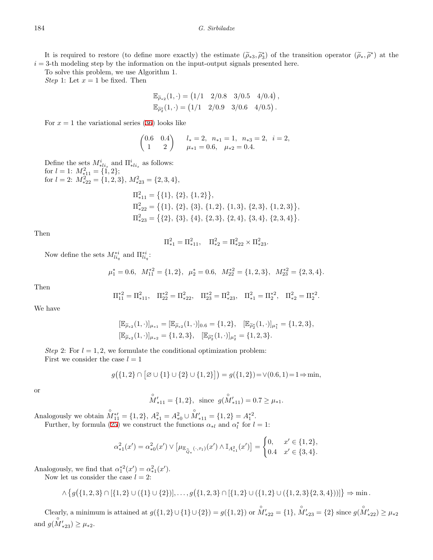It is required to restore (to define more exactly) the estimate  $(\tilde{\rho}_*, \tilde{\rho}_s^*)$  of the transition operator  $(\tilde{\rho}_*, \tilde{\rho}^*)$  at the 3-th modeling step by the information on the input-output signals presented here  $i = 3$ -th modeling step by the information on the input-output signals presented here.

To solve this problem, we use Algorithm 1.

*Step* 1: Let  $x = 1$  be fixed. Then

$$
\mathbb{E}_{\widetilde{\rho}_*2}(1,\cdot) = (1/1 \quad 2/0.8 \quad 3/0.5 \quad 4/0.4), \n\mathbb{E}_{\widetilde{\rho}_2^*}(1,\cdot) = (1/1 \quad 2/0.9 \quad 3/0.6 \quad 4/0.5).
$$

For  $x = 1$  the variational series ([36\)](#page-12-0) looks like

$$
\begin{pmatrix} 0.6 & 0.4 \\ 1 & 2 \end{pmatrix} \quad\n\begin{aligned}\n& l_* = 2, \quad n_{*1} = 1, \quad n_{*3} = 2, \quad i = 2, \\
& \mu_{*1} = 0.6, \quad \mu_{*2} = 0.4.\n\end{aligned}
$$

Define the sets  $M_{*li_s}^i$  and  $\Pi_{*li_s}^i$  as follows: for  $l = 1$ :  $M_{*11}^2 = \{\text{1}, 2\}$ ;<br>
for  $l = 2$ :  $M_{*22}^2 = \{1, 2, 3\}$ ,  $M_{*23}^2 = \{2, 3, 4\}$ ,

$$
\Pi_{*11}^{2} = \{ \{1\}, \{2\}, \{1,2\} \},
$$
  
\n
$$
\Pi_{*22}^{2} = \{ \{1\}, \{2\}, \{3\}, \{1,2\}, \{1,3\}, \{2,3\}, \{1,2,3\} \}
$$
  
\n
$$
\Pi_{*23}^{2} = \{ \{2\}, \{3\}, \{4\}, \{2,3\}, \{2,4\}, \{3,4\}, \{2,3,4\} \}
$$

*,*

*.*

Then

$$
\Pi_{*1}^2 = \Pi_{*11}^2, \quad \Pi_{*2}^2 = \Pi_{*22}^2 \times \Pi_{*23}^2.
$$

Now define the sets  $M_{liq}^{*i}$  and  $\Pi_{liq}^{*i}$ :

$$
\mu_1^* = 0.6
$$
,  $M_{11}^{*2} = \{1, 2\}$ ,  $\mu_2^* = 0.6$ ,  $M_{22}^{*2} = \{1, 2, 3\}$ ,  $M_{23}^{*2} = \{2, 3, 4\}$ .

Then

$$
\Pi_{11}^{*2} = \Pi_{*11}^2, \quad \Pi_{22}^{*2} = \Pi_{*22}^2, \quad \Pi_{23}^{*2} = \Pi_{*23}^2, \quad \Pi_{*1}^2 = \Pi_2^{*2}, \quad \Pi_{*2}^2 = \Pi_2^{*2}.
$$

We have

$$
\begin{aligned} [\mathbb{E}_{\widetilde{\rho}_{*2}}(1,\cdot)]_{\mu_{*1}} &= [\mathbb{E}_{\widetilde{\rho}_{*2}}(1,\cdot)]_{0.6} = \{1,2\}, \quad [\mathbb{E}_{\widetilde{\rho}_2^*}(1,\cdot)]_{\mu_1^*} = \{1,2,3\}, \\ [\mathbb{E}_{\widetilde{\rho}_{*2}}(1,\cdot)]_{\mu_{*2}} &= \{1,2,3\}, \quad [\mathbb{E}_{\widetilde{\rho}_2^*}(1,\cdot)]_{\mu_2^*} = \{1,2,3\}. \end{aligned}
$$

*Step* 2: For  $l = 1, 2$ , we formulate the conditional optimization problem: First we consider the case  $l = 1$ 

$$
g(\{1,2\} \cap [\emptyset \cup \{1\} \cup \{2\} \cup \{1,2\}]) = g(\{1,2\}) = \vee (0.6, 1) = 1 \Rightarrow \min,
$$

or

$$
\overset{\circ}{M}'_{*11} = \{1, 2\}, \text{ since } g(\overset{\circ}{M}'_{*11}) = 0.7 \ge \mu_{*1}.
$$

Analogously we obtain  $\overset{\circ}{M}{}_{11}^{*} = \{1, 2\}, \ A_{*1}^2 = A_{*0}^2 \cup \overset{\circ}{M}'_{*11} = \{1, 2\} = A_1^{*2}.$ 

Further, by formula [\(25](#page-10-3)) we construct the functions  $\alpha_{*l}$  and  $\alpha_l^*$  for  $l = 1$ :

$$
\alpha_{*1}^2(x') = \alpha_{*0}^2(x') \vee \left[ \mu_{\mathbb{E}_{\widehat{\mathbb{Q}}_*}(\cdot, \tau_1)}(x') \wedge \mathbb{I}_{A_{*1}^2}(x') \right] = \begin{cases} 0, & x' \in \{1, 2\}, \\ 0.4 & x' \in \{3, 4\}. \end{cases}
$$

Analogously, we find that  $\alpha_1^{*2}(x') = \alpha_{*1}^2(x')$ .

Now let us consider the case  $l = 2$ :

$$
\wedge \{g(\{1,2,3\} \cap [\{1,2\} \cup (\{1\} \cup \{2\})], \ldots, g(\{1,2,3\} \cap [\{1,2\} \cup (\{1,2\} \cup (\{1,2,3\}\{2,3,4\}))]\} \Rightarrow \min.
$$

Clearly, a minimum is attained at  $g(\{1,2\} \cup \{1\} \cup \{2\}) = g(\{1,2\})$  or  $M'_{*22} = \{1\}$ ,  $M'_{*23} = \{2\}$  since  $g(M'_{*22}) \ge \mu_{*2}$ and  $g(\stackrel{\circ}{M}'_{*23}) \geq \mu_{*2}$ .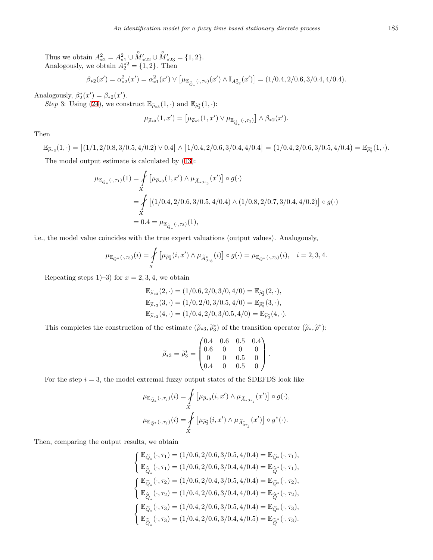Thus we obtain  $A_{*2}^2 = A_{*1}^2 \cup \overset{\circ}{M}'_{*22} \cup \overset{\circ}{M}'_{*23} = \{1,2\}.$ <br>Analogously, we obtain  $A_2^{*2} = \{1,2\}.$  Then

$$
\beta_{*2}(x') = \alpha_{*2}^2(x') = \alpha_{*1}^2(x') \vee \left[ \mu_{\mathbb{E}_{\widehat{Q}_*}(\cdot, \tau_2)}(x') \wedge \mathbb{I}_{A_{*2}^2}(x') \right] = (1/0.4, 2/0.6, 3/0.4, 4/0.4).
$$

Analogously,  $\beta_2^*(x') = \beta_{*2}(x')$ .

*Step* 3: Using ([24\)](#page-9-1), we construct  $\mathbb{E}_{\tilde{\rho}_{*3}}(1,\cdot)$  and  $\mathbb{E}_{\tilde{\rho}_3^*}(1,\cdot)$ :

$$
\mu_{\widetilde{\rho}_{*3}}(1,x') = \left[\mu_{\widetilde{\rho}_{*2}}(1,x') \vee \mu_{\mathbb{E}_{\widehat{\mathbb{Q}}_{*}}(\cdot,\tau_1)}\right] \wedge \beta_{*2}(x').
$$

Then

 $\mathbb{E}_{\widetilde{\rho}_{*3}}(1,\cdot) = \left[\left(1/1,2/0.8,3/0.5,4/0.2\right) \vee 0.4\right] \wedge \left[1/0.4,2/0.6,3/0.4,4/0.4\right] = \left(1/0.4,2/0.6,3/0.5,4/0.4\right) = \mathbb{E}_{\widetilde{\rho}_{3}^{*}}(1,\cdot).$ 

The model output estimate is calculated by ([13\)](#page-7-0):

$$
\mu_{\mathbb{E}_{\tilde{Q}_*}(\cdot,\tau_1)}(1) = \int_X \left[ \mu_{\tilde{\rho}_{*3}}(1,x') \wedge \mu_{\tilde{A}_{*0\tau_3}}(x') \right] \circ g(\cdot)
$$
  
= 
$$
\int_X \left[ (1/0.4, 2/0.6, 3/0.5, 4/0.4) \wedge (1/0.8, 2/0.7, 3/0.4, 4/0.2) \right] \circ g(\cdot)
$$
  
= 0.4 =  $\mu_{\mathbb{E}_{\tilde{Q}_*}(\cdot,\tau_3)}(1)$ ,

i.e., the model value coincides with the true expert valuations (output values). Analogously,

$$
\mu_{\mathbb{E}_{\widetilde{Q}^*}(\cdot,\tau_3)}(i)=\int\limits_X \left[\mu_{\widetilde{\rho}^*_3}(i,x')\wedge\mu_{\widetilde{A}^*_{0\tau_3}}(i)\right]\circ g(\cdot)=\mu_{\mathbb{E}_{\widetilde{Q}^*}(\cdot,\tau_3)}(i),\quad i=2,3,4.
$$

Repeating steps 1–3) for  $x = 2, 3, 4$ , we obtain

$$
\mathbb{E}_{\widetilde{\rho}_{*3}}(2,\cdot) = (1/0.6, 2/0, 3/0, 4/0) = \mathbb{E}_{\widetilde{\rho}_3^*}(2,\cdot), \n\mathbb{E}_{\widetilde{\rho}_{*3}}(3,\cdot) = (1/0, 2/0, 3/0.5, 4/0) = \mathbb{E}_{\widetilde{\rho}_3^*}(3,\cdot), \n\mathbb{E}_{\widetilde{\rho}_{*3}}(4,\cdot) = (1/0.4, 2/0, 3/0.5, 4/0) = \mathbb{E}_{\widetilde{\rho}_3^*}(4,\cdot).
$$

This completes the construction of the estimate  $(\tilde{\rho}_{*3}, \tilde{\rho}_{3}^{*})$  of the transition operator  $(\tilde{\rho}_{*}, \tilde{\rho}^{*})$ :

$$
\widetilde{\rho}_{*3} = \widetilde{\rho}_3^* = \begin{pmatrix} 0.4 & 0.6 & 0.5 & 0.4 \\ 0.6 & 0 & 0 & 0 \\ 0 & 0 & 0.5 & 0 \\ 0.4 & 0 & 0.5 & 0 \end{pmatrix}.
$$

For the step  $i = 3$ , the model extremal fuzzy output states of the SDEFDS look like

$$
\begin{split} & \mu_{\mathbb{E}_{\widetilde{Q}_{*}}(\cdot,\tau_{j})}(i) = \!\!\!\!\!\!\!\!\int\limits_{X} \left[ \mu_{\widetilde{\rho}_{*3}}(i,x') \wedge \mu_{\widetilde{A}_{*0\tau_{j}}}(x') \right] \circ g(\cdot), \\ & \mu_{\mathbb{E}_{\widetilde{Q}^{*}}(\cdot,\tau_{j})}(i) = \!\!\!\!\!\!\!\!\!\int\limits_{X} \left[ \mu_{\widetilde{\rho}^{*}_{3}}(i,x') \wedge \mu_{\widetilde{A}^{*}_{0\tau_{j}}}(x') \right] \circ g^{*}(\cdot). \end{split}
$$

Then, comparing the output results, we obtain

$$
\left\{ \begin{aligned} &\mathbb{E}_{\widetilde{Q}_{*}}(\cdot,\tau_{1})=(1/0.6,2/0.6,3/0.5,4/0.4)=\mathbb{E}_{\widetilde{Q}^{*}}(\cdot,\tau_{1}),\\ &\mathbb{E}_{\widehat{\widetilde{Q}}_{*}}(\cdot,\tau_{1})=(1/0.6,2/0.6,3/0.4,4/0.4)=\mathbb{E}_{\widehat{\widetilde{Q}}^{*}}(\cdot,\tau_{1}),\\ &\left\{ \begin{aligned} &\mathbb{E}_{\widetilde{Q}_{*}}(\cdot,\tau_{2})=(1/0.6,2/0.4,3/0.5,4/0.4)=\mathbb{E}_{\widetilde{Q}^{*}}(\cdot,\tau_{2}),\\ &\mathbb{E}_{\widehat{\widetilde{Q}}_{*}}(\cdot,\tau_{2})=(1/0.4,2/0.6,3/0.4,4/0.4)=\mathbb{E}_{\widehat{\widetilde{Q}}^{*}}(\cdot,\tau_{2}),\\ &\left\{ \begin{aligned} &\mathbb{E}_{\widetilde{Q}_{*}}(\cdot,\tau_{3})=(1/0.4,2/0.6,3/0.5,4/0.4)=\mathbb{E}_{\widetilde{Q}^{*}}(\cdot,\tau_{3}),\\ &\mathbb{E}_{\widehat{\widetilde{Q}}_{*}}(\cdot,\tau_{3})=(1/0.4,2/0.6,3/0.4,4/0.5)=\mathbb{E}_{\widehat{\widetilde{Q}}^{*}}(\cdot,\tau_{3}). \end{aligned} \right. \end{aligned} \right.
$$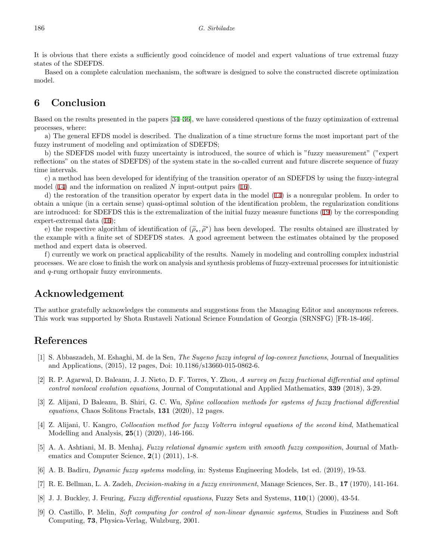It is obvious that there exists a sufficiently good coincidence of model and expert valuations of true extremal fuzzy states of the SDEFDS.

Based on a complete calculation mechanism, the software is designed to solve the constructed discrete optimization model.

## **6 Conclusion**

Based on the results presented in the papers [[34–](#page-17-11)[36\]](#page-17-15), we have considered questions of the fuzzy optimization of extremal processes, where:

a) The general EFDS model is described. The dualization of a time structure forms the most important part of the fuzzy instrument of modeling and optimization of SDEFDS;

b) the SDEFDS model with fuzzy uncertainty is introduced, the source of which is "fuzzy measurement" ("expert reflections" on the states of SDEFDS) of the system state in the so-called current and future discrete sequence of fuzzy time intervals.

c) a method has been developed for identifying of the transition operator of an SDEFDS by using the fuzzy-integral model ([14\)](#page-7-1) and the information on realized *N* input-output pairs ([16\)](#page-8-2).

d) the restoration of the transition operator by expert data in the model ([14](#page-7-1)) is a nonregular problem. In order to obtain a unique (in a certain sense) quasi-optimal solution of the identification problem, the regularization conditions are introduced: for SDEFDS this is the extremalization of the initial fuzzy measure functions ([19](#page-9-0)) by the corresponding expert-extremal data ([16](#page-8-2));

e) the respective algorithm of identification of  $(\tilde{\rho}_*, \tilde{\rho}^*)$  has been developed. The results obtained are illustrated by<br>example with a finite set of SDEEDS states. A good agreement between the estimates obtained by the example with a finite set of SDEFDS states. A good agreement between the estimates obtained by the proposed method and expert data is observed.

f) currently we work on practical applicability of the results. Namely in modeling and controlling complex industrial processes. We are close to finish the work on analysis and synthesis problems of fuzzy-extremal processes for intuitionistic and *q*-rung orthopair fuzzy environments.

## **Acknowledgement**

The author gratefully acknowledges the comments and suggestions from the Managing Editor and anonymous referees. This work was supported by Shota Rustaveli National Science Foundation of Georgia (SRNSFG) [FR-18-466].

### **References**

- <span id="page-15-7"></span>[1] S. Abbaszadeh, M. Eshaghi, M. de la Sen, *The Sugeno fuzzy integral of log-convex functions*, Journal of Inequalities and Applications, (2015), 12 pages, Doi: 10.1186/s13660-015-0862-6.
- <span id="page-15-3"></span>[2] R. P. Agarwal, D. Baleanu, J. J. Nieto, D. F. Torres, Y. Zhou, *A survey on fuzzy fractional differential and optimal control nonlocal evolution equations*, Journal of Computational and Applied Mathematics, **339** (2018), 3-29.
- [3] Z. Alijani, D Baleanu, B. Shiri, G. C. Wu, *Spline collocation methods for systems of fuzzy fractional differential equations*, Chaos Solitons Fractals, **131** (2020), 12 pages.
- <span id="page-15-4"></span>[4] Z. Alijani, U. Kangro, *Collocation method for fuzzy Volterra integral equations of the second kind*, Mathematical Modelling and Analysis, **25**(1) (2020), 146-166.
- <span id="page-15-0"></span>[5] A. A. Ashtiani, M. B. Menhaj, *Fuzzy relational dynamic system with smooth fuzzy composition*, Journal of Mathematics and Computer Science, **2**(1) (2011), 1-8.
- <span id="page-15-1"></span>[6] A. B. Badiru, *Dynamic fuzzy systems modeling*, in: Systems Engineering Models, 1st ed. (2019), 19-53.
- <span id="page-15-5"></span>[7] R. E. Bellman, L. A. Zadeh, *Decision-making in a fuzzy environment*, Manage Sciences, Ser. B., **17** (1970), 141-164.
- <span id="page-15-2"></span>[8] J. J. Buckley, J. Feuring, *Fuzzy differential equations*, Fuzzy Sets and Systems, **110**(1) (2000), 43-54.
- <span id="page-15-6"></span>[9] O. Castillo, P. Melin, *Soft computing for control of non-linear dynamic systems*, Studies in Fuzziness and Soft Computing, **73**, Physica-Verlag, Wulzburg, 2001.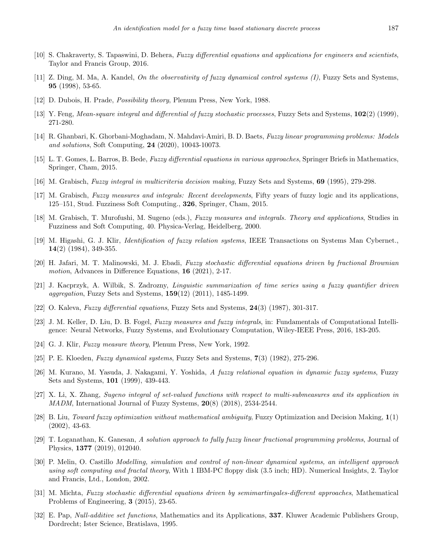- <span id="page-16-1"></span>[10] S. Chakraverty, S. Tapaswini, D. Behera, *Fuzzy differential equations and applications for engineers and scientists*, Taylor and Francis Group, 2016.
- <span id="page-16-7"></span>[11] Z. Ding, M. Ma, A. Kandel, *On the observativity of fuzzy dynamical control systems (I)*, Fuzzy Sets and Systems, **95** (1998), 53-65.
- <span id="page-16-13"></span>[12] D. Dubois, H. Prade, *Possibility theory*, Plenum Press, New York, 1988.
- <span id="page-16-4"></span>[13] Y. Feng, *Mean-square integral and differential of fuzzy stochastic processes*, Fuzzy Sets and Systems, **102**(2) (1999), 271-280.
- <span id="page-16-8"></span>[14] R. Ghanbari, K. Ghorbani-Moghadam, N. Mahdavi-Amiri, B. D. Baets, *Fuzzy linear programming problems: Models and solutions*, Soft Computing, **24** (2020), 10043-10073.
- <span id="page-16-2"></span>[15] L. T. Gomes, L. Barros, B. Bede, *Fuzzy differential equations in various approaches*, Springer Briefs in Mathematics, Springer, Cham, 2015.
- <span id="page-16-14"></span>[16] M. Grabisch, *Fuzzy integral in multicriteria decision making*, Fuzzy Sets and Systems, **69** (1995), 279-298.
- [17] M. Grabisch, *Fuzzy measures and integrals: Recent developments*, Fifty years of fuzzy logic and its applications, 125–151, Stud. Fuzziness Soft Computing., **326**, Springer, Cham, 2015.
- <span id="page-16-15"></span>[18] M. Grabisch, T. Murofushi, M. Sugeno (eds.), *Fuzzy measures and integrals. Theory and applications*, Studies in Fuzziness and Soft Computing, 40. Physica-Verlag, Heidelberg, 2000.
- <span id="page-16-9"></span>[19] M. Higashi, G. J. Klir, *Identification of fuzzy relation systems*, IEEE Transactions on Systems Man Cybernet., **14**(2) (1984), 349-355.
- <span id="page-16-5"></span>[20] H. Jafari, M. T. Malinowski, M. J. Ebadi, *Fuzzy stochastic differential equations driven by fractional Brownian motion*, Advances in Difference Equations, **16** (2021), 2-17.
- <span id="page-16-0"></span>[21] J. Kacprzyk, A. Wilbik, S. Zadrozny, *Linguistic summarization of time series using a fuzzy quantifier driven aggregation*, Fuzzy Sets and Systems, **159**(12) (2011), 1485-1499.
- <span id="page-16-3"></span>[22] O. Kaleva, *Fuzzy differential equations*, Fuzzy Sets and Systems, **24**(3) (1987), 301-317.
- <span id="page-16-16"></span>[23] J. M. Keller, D. Liu, D. B. Fogel, *Fuzzy measures and fuzzy integrals*, in: Fundamentals of Computational Intelligence: Neural Networks, Fuzzy Systems, and Evolutionary Computation, Wiley-IEEE Press, 2016, 183-205.
- <span id="page-16-17"></span>[24] G. J. Klir, *Fuzzy measure theory*, Plenum Press, New York, 1992.
- <span id="page-16-10"></span>[25] P. E. Kloeden, *Fuzzy dynamical systems*, Fuzzy Sets and Systems, **7**(3) (1982), 275-296.
- <span id="page-16-20"></span>[26] M. Kurano, M. Yasuda, J. Nakagami, Y. Yoshida, *A fuzzy relational equation in dynamic fuzzy systems*, Fuzzy Sets and Systems, **101** (1999), 439-443.
- <span id="page-16-18"></span>[27] X. Li, X. Zhang, *Sugeno integral of set-valued functions with respect to multi-submeasures and its application in MADM*, International Journal of Fuzzy Systems, **20**(8) (2018), 2534-2544.
- <span id="page-16-11"></span>[28] B. Liu, *Toward fuzzy optimization without mathematical ambiguity*, Fuzzy Optimization and Decision Making, **1**(1) (2002), 43-63.
- [29] T. Loganathan, K. Ganesan, *A solution approach to fully fuzzy linear fractional programming problems*, Journal of Physics, **1377** (2019), 012040.
- <span id="page-16-12"></span>[30] P. Melin, O. Castillo *Modelling, simulation and control of non-linear dynamical systems, an intelligent approach using soft computing and fractal theory*, With 1 IBM-PC floppy disk (3.5 inch; HD). Numerical Insights, 2. Taylor and Francis, Ltd., London, 2002.
- <span id="page-16-6"></span>[31] M. Michta, *Fuzzy stochastic differential equations driven by semimartingales-different approaches*, Mathematical Problems of Engineering, **3** (2015), 23-65.
- <span id="page-16-19"></span>[32] E. Pap, *Null-additive set functions*, Mathematics and its Applications, **337**. Kluwer Academic Publishers Group, Dordrecht; Ister Science, Bratislava, 1995.